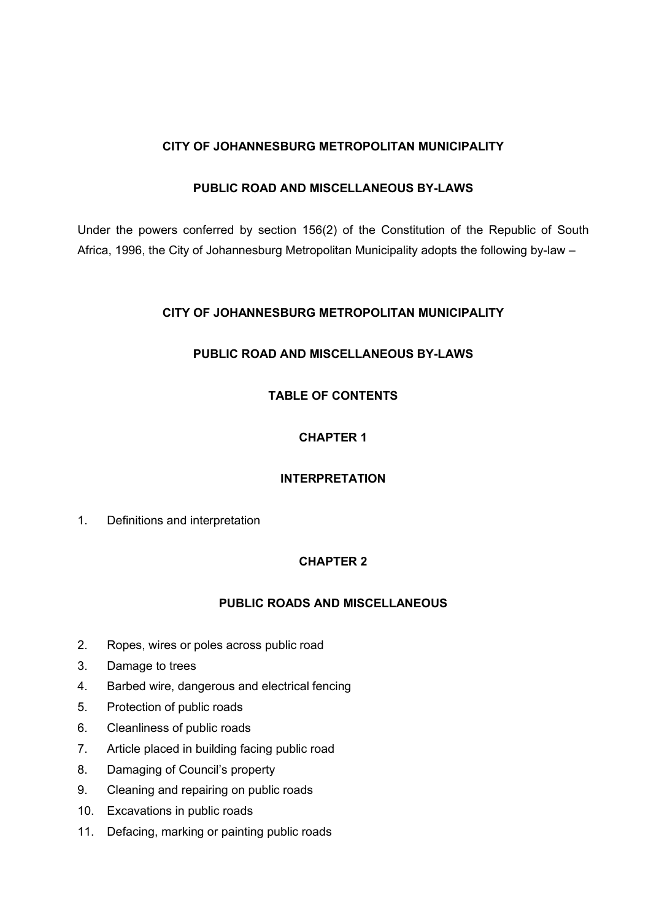# CITY OF JOHANNESBURG METROPOLITAN MUNICIPALITY

# PUBLIC ROAD AND MISCELLANEOUS BY-LAWS

Under the powers conferred by section 156(2) of the Constitution of the Republic of South Africa, 1996, the City of Johannesburg Metropolitan Municipality adopts the following by-law –

# CITY OF JOHANNESBURG METROPOLITAN MUNICIPALITY

# PUBLIC ROAD AND MISCELLANEOUS BY-LAWS

# TABLE OF CONTENTS

# CHAPTER 1

# INTERPRETATION

1. Definitions and interpretation

# CHAPTER 2

# PUBLIC ROADS AND MISCELLANEOUS

- 2. Ropes, wires or poles across public road
- 3. Damage to trees
- 4. Barbed wire, dangerous and electrical fencing
- 5. Protection of public roads
- 6. Cleanliness of public roads
- 7. Article placed in building facing public road
- 8. Damaging of Council's property
- 9. Cleaning and repairing on public roads
- 10. Excavations in public roads
- 11. Defacing, marking or painting public roads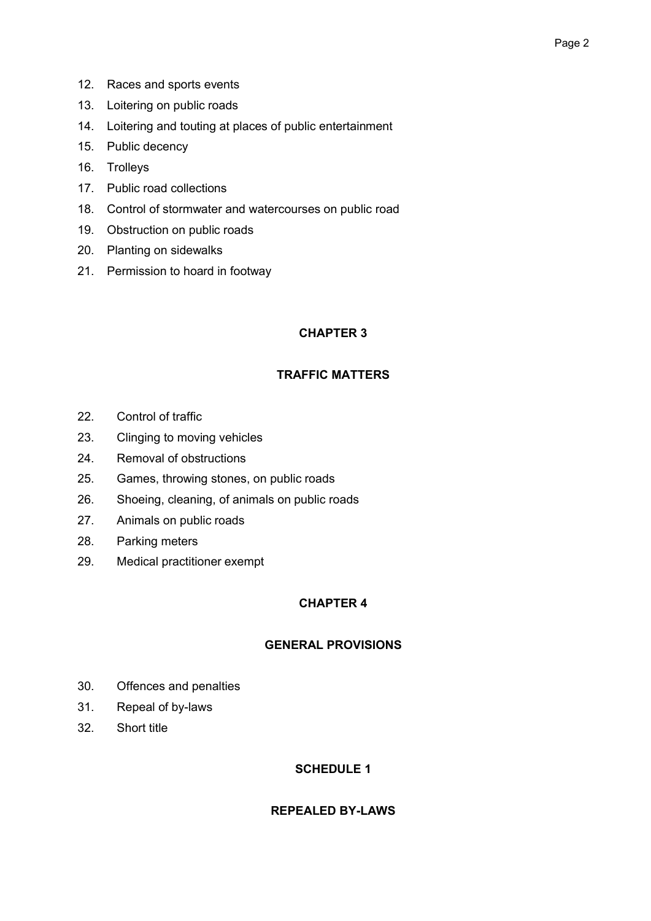- 12. Races and sports events
- 13. Loitering on public roads
- 14. Loitering and touting at places of public entertainment
- 15. Public decency
- 16. Trolleys
- 17. Public road collections
- 18. Control of stormwater and watercourses on public road
- 19. Obstruction on public roads
- 20. Planting on sidewalks
- 21. Permission to hoard in footway

# CHAPTER 3

## TRAFFIC MATTERS

- 22. Control of traffic
- 23. Clinging to moving vehicles
- 24. Removal of obstructions
- 25. Games, throwing stones, on public roads
- 26. Shoeing, cleaning, of animals on public roads
- 27. Animals on public roads
- 28. Parking meters
- 29. Medical practitioner exempt

## CHAPTER 4

# GENERAL PROVISIONS

- 30. Offences and penalties
- 31. Repeal of by-laws
- 32. Short title

## SCHEDULE 1

## REPEALED BY-LAWS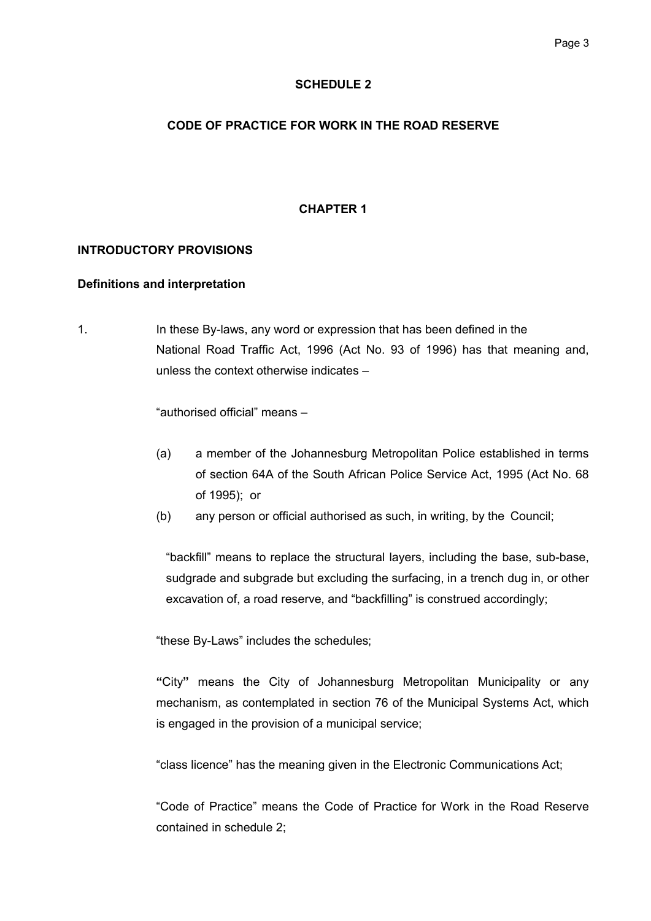# SCHEDULE 2

# CODE OF PRACTICE FOR WORK IN THE ROAD RESERVE

# CHAPTER 1

## INTRODUCTORY PROVISIONS

## Definitions and interpretation

1. In these By-laws, any word or expression that has been defined in the National Road Traffic Act, 1996 (Act No. 93 of 1996) has that meaning and, unless the context otherwise indicates –

"authorised official" means –

- (a) a member of the Johannesburg Metropolitan Police established in terms of section 64A of the South African Police Service Act, 1995 (Act No. 68 of 1995); or
- (b) any person or official authorised as such, in writing, by the Council;

"backfill" means to replace the structural layers, including the base, sub-base, sudgrade and subgrade but excluding the surfacing, in a trench dug in, or other excavation of, a road reserve, and "backfilling" is construed accordingly;

"these By-Laws" includes the schedules;

"City" means the City of Johannesburg Metropolitan Municipality or any mechanism, as contemplated in section 76 of the Municipal Systems Act, which is engaged in the provision of a municipal service;

"class licence" has the meaning given in the Electronic Communications Act;

"Code of Practice" means the Code of Practice for Work in the Road Reserve contained in schedule 2;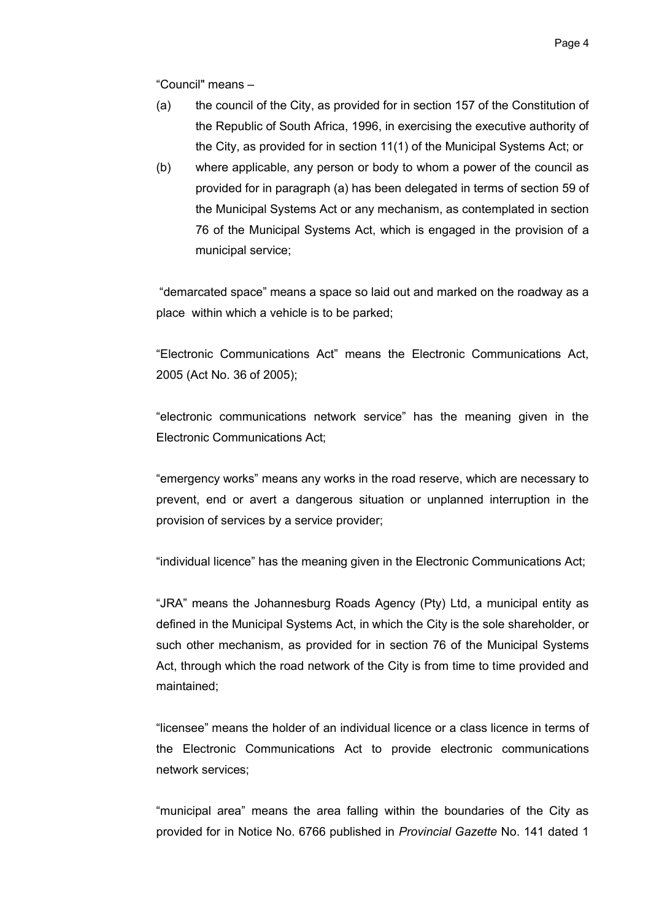"Council" means –

- (a) the council of the City, as provided for in section 157 of the Constitution of the Republic of South Africa, 1996, in exercising the executive authority of the City, as provided for in section 11(1) of the Municipal Systems Act; or
- (b) where applicable, any person or body to whom a power of the council as provided for in paragraph (a) has been delegated in terms of section 59 of the Municipal Systems Act or any mechanism, as contemplated in section 76 of the Municipal Systems Act, which is engaged in the provision of a municipal service;

"demarcated space" means a space so laid out and marked on the roadway as a place within which a vehicle is to be parked;

"Electronic Communications Act" means the Electronic Communications Act, 2005 (Act No. 36 of 2005);

"electronic communications network service" has the meaning given in the Electronic Communications Act;

"emergency works" means any works in the road reserve, which are necessary to prevent, end or avert a dangerous situation or unplanned interruption in the provision of services by a service provider;

"individual licence" has the meaning given in the Electronic Communications Act;

"JRA" means the Johannesburg Roads Agency (Pty) Ltd, a municipal entity as defined in the Municipal Systems Act, in which the City is the sole shareholder, or such other mechanism, as provided for in section 76 of the Municipal Systems Act, through which the road network of the City is from time to time provided and maintained;

"licensee" means the holder of an individual licence or a class licence in terms of the Electronic Communications Act to provide electronic communications network services;

"municipal area" means the area falling within the boundaries of the City as provided for in Notice No. 6766 published in *Provincial Gazette* No. 141 dated 1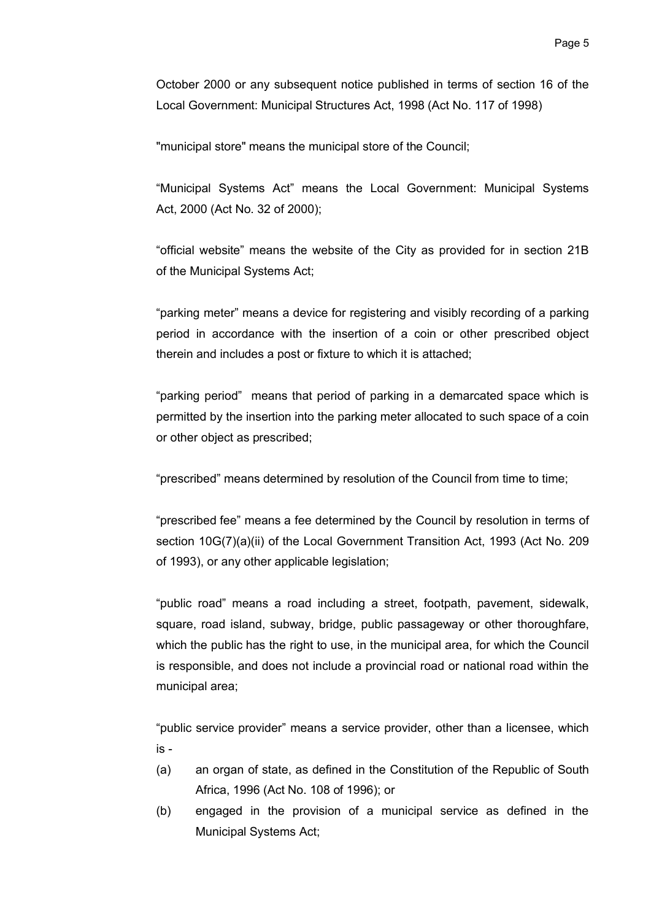October 2000 or any subsequent notice published in terms of section 16 of the Local Government: Municipal Structures Act, 1998 (Act No. 117 of 1998)

"municipal store" means the municipal store of the Council;

"Municipal Systems Act" means the Local Government: Municipal Systems Act, 2000 (Act No. 32 of 2000);

"official website" means the website of the City as provided for in section 21B of the Municipal Systems Act;

"parking meter" means a device for registering and visibly recording of a parking period in accordance with the insertion of a coin or other prescribed object therein and includes a post or fixture to which it is attached;

"parking period" means that period of parking in a demarcated space which is permitted by the insertion into the parking meter allocated to such space of a coin or other object as prescribed;

"prescribed" means determined by resolution of the Council from time to time;

"prescribed fee" means a fee determined by the Council by resolution in terms of section 10G(7)(a)(ii) of the Local Government Transition Act, 1993 (Act No. 209 of 1993), or any other applicable legislation;

"public road" means a road including a street, footpath, pavement, sidewalk, square, road island, subway, bridge, public passageway or other thoroughfare, which the public has the right to use, in the municipal area, for which the Council is responsible, and does not include a provincial road or national road within the municipal area;

"public service provider" means a service provider, other than a licensee, which is -

- (a) an organ of state, as defined in the Constitution of the Republic of South Africa, 1996 (Act No. 108 of 1996); or
- (b) engaged in the provision of a municipal service as defined in the Municipal Systems Act;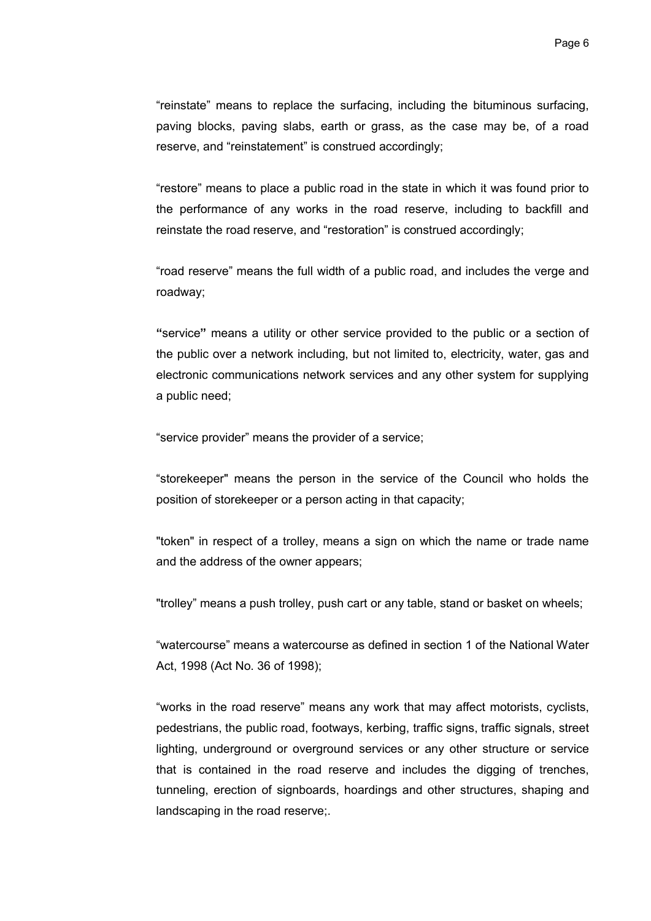"reinstate" means to replace the surfacing, including the bituminous surfacing, paving blocks, paving slabs, earth or grass, as the case may be, of a road reserve, and "reinstatement" is construed accordingly;

"restore" means to place a public road in the state in which it was found prior to the performance of any works in the road reserve, including to backfill and reinstate the road reserve, and "restoration" is construed accordingly;

"road reserve" means the full width of a public road, and includes the verge and roadway;

"service" means a utility or other service provided to the public or a section of the public over a network including, but not limited to, electricity, water, gas and electronic communications network services and any other system for supplying a public need;

"service provider" means the provider of a service;

"storekeeper" means the person in the service of the Council who holds the position of storekeeper or a person acting in that capacity;

"token" in respect of a trolley, means a sign on which the name or trade name and the address of the owner appears;

"trolley" means a push trolley, push cart or any table, stand or basket on wheels;

"watercourse" means a watercourse as defined in section 1 of the National Water Act, 1998 (Act No. 36 of 1998);

"works in the road reserve" means any work that may affect motorists, cyclists, pedestrians, the public road, footways, kerbing, traffic signs, traffic signals, street lighting, underground or overground services or any other structure or service that is contained in the road reserve and includes the digging of trenches, tunneling, erection of signboards, hoardings and other structures, shaping and landscaping in the road reserve;.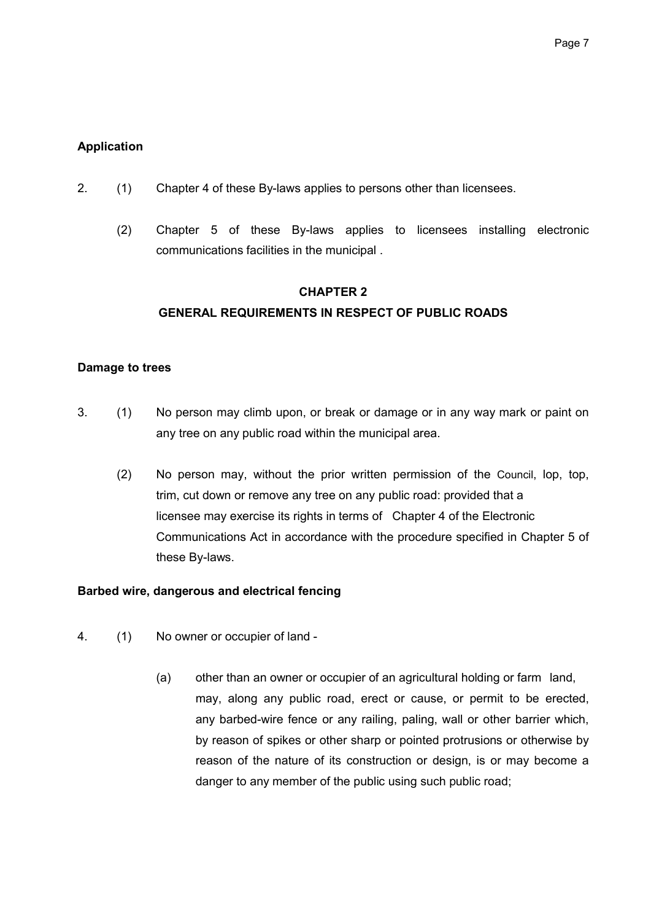## Application

- 2. (1) Chapter 4 of these By-laws applies to persons other than licensees.
	- (2) Chapter 5 of these By-laws applies to licensees installing electronic communications facilities in the municipal .

# CHAPTER 2 GENERAL REQUIREMENTS IN RESPECT OF PUBLIC ROADS

#### Damage to trees

- 3. (1) No person may climb upon, or break or damage or in any way mark or paint on any tree on any public road within the municipal area.
	- (2) No person may, without the prior written permission of the Council, lop, top, trim, cut down or remove any tree on any public road: provided that a licensee may exercise its rights in terms of Chapter 4 of the Electronic Communications Act in accordance with the procedure specified in Chapter 5 of these By-laws.

#### Barbed wire, dangerous and electrical fencing

- 4. (1) No owner or occupier of land
	- (a) other than an owner or occupier of an agricultural holding or farm land, may, along any public road, erect or cause, or permit to be erected, any barbed-wire fence or any railing, paling, wall or other barrier which, by reason of spikes or other sharp or pointed protrusions or otherwise by reason of the nature of its construction or design, is or may become a danger to any member of the public using such public road;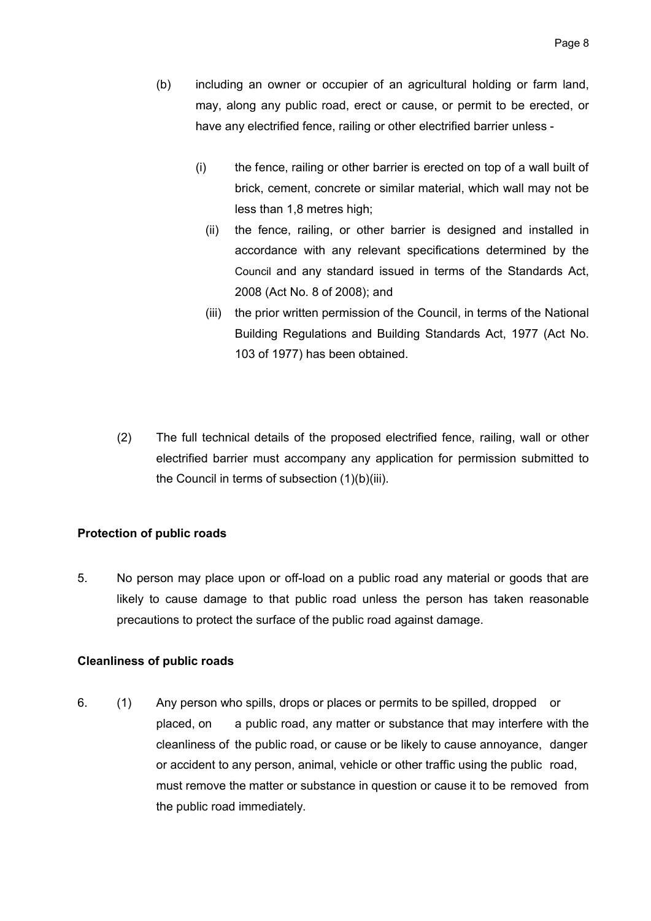- (b) including an owner or occupier of an agricultural holding or farm land, may, along any public road, erect or cause, or permit to be erected, or have any electrified fence, railing or other electrified barrier unless -
	- (i) the fence, railing or other barrier is erected on top of a wall built of brick, cement, concrete or similar material, which wall may not be less than 1,8 metres high;
		- (ii) the fence, railing, or other barrier is designed and installed in accordance with any relevant specifications determined by the Council and any standard issued in terms of the Standards Act, 2008 (Act No. 8 of 2008); and
		- (iii) the prior written permission of the Council, in terms of the National Building Regulations and Building Standards Act, 1977 (Act No. 103 of 1977) has been obtained.
- (2) The full technical details of the proposed electrified fence, railing, wall or other electrified barrier must accompany any application for permission submitted to the Council in terms of subsection (1)(b)(iii).

# Protection of public roads

5. No person may place upon or off-load on a public road any material or goods that are likely to cause damage to that public road unless the person has taken reasonable precautions to protect the surface of the public road against damage.

## Cleanliness of public roads

6. (1) Any person who spills, drops or places or permits to be spilled, dropped or placed, on a public road, any matter or substance that may interfere with the cleanliness of the public road, or cause or be likely to cause annoyance, danger or accident to any person, animal, vehicle or other traffic using the public road, must remove the matter or substance in question or cause it to be removed from the public road immediately.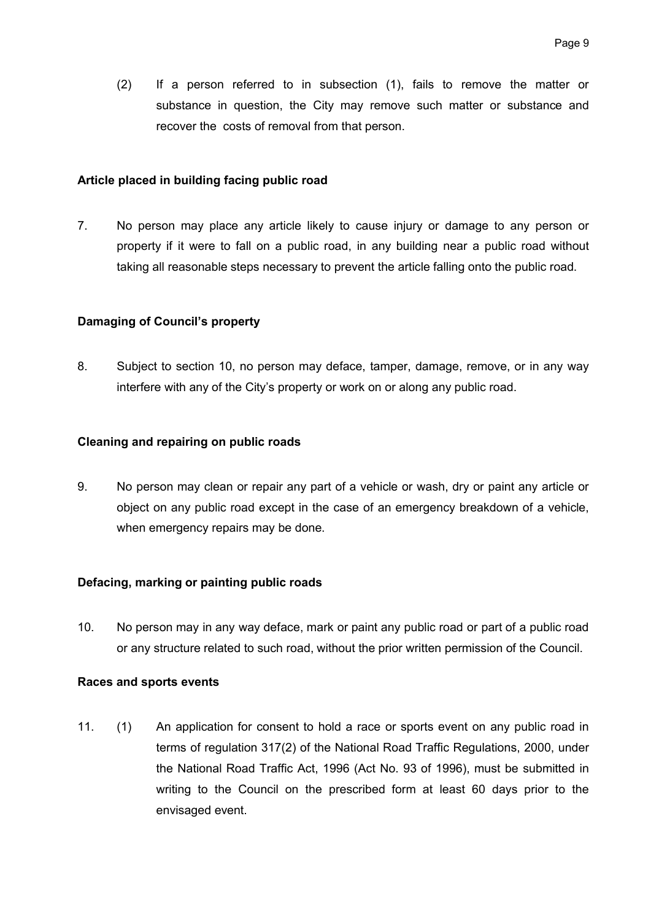(2) If a person referred to in subsection (1), fails to remove the matter or substance in question, the City may remove such matter or substance and recover the costs of removal from that person.

## Article placed in building facing public road

7. No person may place any article likely to cause injury or damage to any person or property if it were to fall on a public road, in any building near a public road without taking all reasonable steps necessary to prevent the article falling onto the public road.

# Damaging of Council's property

8. Subject to section 10, no person may deface, tamper, damage, remove, or in any way interfere with any of the City's property or work on or along any public road.

## Cleaning and repairing on public roads

9. No person may clean or repair any part of a vehicle or wash, dry or paint any article or object on any public road except in the case of an emergency breakdown of a vehicle, when emergency repairs may be done.

# Defacing, marking or painting public roads

10. No person may in any way deface, mark or paint any public road or part of a public road or any structure related to such road, without the prior written permission of the Council.

## Races and sports events

11. (1) An application for consent to hold a race or sports event on any public road in terms of regulation 317(2) of the National Road Traffic Regulations, 2000, under the National Road Traffic Act, 1996 (Act No. 93 of 1996), must be submitted in writing to the Council on the prescribed form at least 60 days prior to the envisaged event.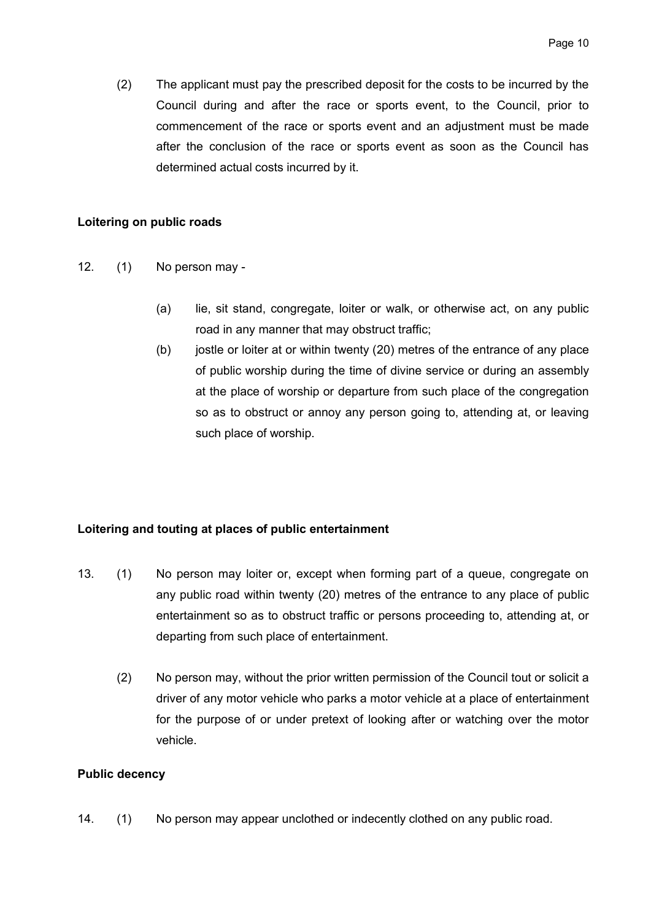(2) The applicant must pay the prescribed deposit for the costs to be incurred by the Council during and after the race or sports event, to the Council, prior to commencement of the race or sports event and an adjustment must be made after the conclusion of the race or sports event as soon as the Council has determined actual costs incurred by it.

## Loitering on public roads

- 12. (1) No person may
	- (a) lie, sit stand, congregate, loiter or walk, or otherwise act, on any public road in any manner that may obstruct traffic;
	- (b) jostle or loiter at or within twenty (20) metres of the entrance of any place of public worship during the time of divine service or during an assembly at the place of worship or departure from such place of the congregation so as to obstruct or annoy any person going to, attending at, or leaving such place of worship.

## Loitering and touting at places of public entertainment

- 13. (1) No person may loiter or, except when forming part of a queue, congregate on any public road within twenty (20) metres of the entrance to any place of public entertainment so as to obstruct traffic or persons proceeding to, attending at, or departing from such place of entertainment.
	- (2) No person may, without the prior written permission of the Council tout or solicit a driver of any motor vehicle who parks a motor vehicle at a place of entertainment for the purpose of or under pretext of looking after or watching over the motor vehicle.

## Public decency

14. (1) No person may appear unclothed or indecently clothed on any public road.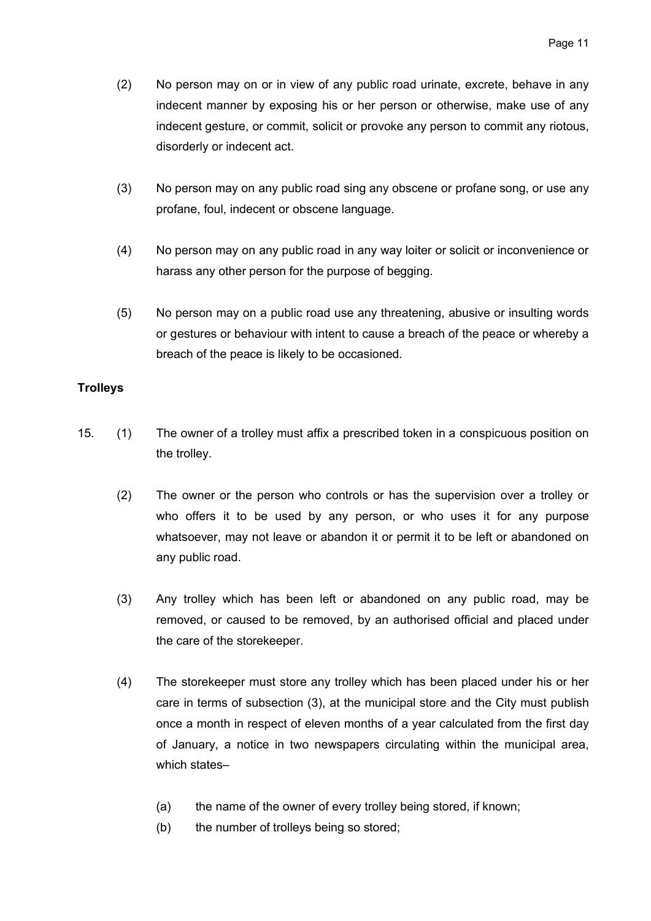- (2) No person may on or in view of any public road urinate, excrete, behave in any indecent manner by exposing his or her person or otherwise, make use of any indecent gesture, or commit, solicit or provoke any person to commit any riotous, disorderly or indecent act.
- (3) No person may on any public road sing any obscene or profane song, or use any profane, foul, indecent or obscene language.
- (4) No person may on any public road in any way loiter or solicit or inconvenience or harass any other person for the purpose of begging.
- (5) No person may on a public road use any threatening, abusive or insulting words or gestures or behaviour with intent to cause a breach of the peace or whereby a breach of the peace is likely to be occasioned.

## **Trolleys**

- 15. (1) The owner of a trolley must affix a prescribed token in a conspicuous position on the trolley.
	- (2) The owner or the person who controls or has the supervision over a trolley or who offers it to be used by any person, or who uses it for any purpose whatsoever, may not leave or abandon it or permit it to be left or abandoned on any public road.
	- (3) Any trolley which has been left or abandoned on any public road, may be removed, or caused to be removed, by an authorised official and placed under the care of the storekeeper.
	- (4) The storekeeper must store any trolley which has been placed under his or her care in terms of subsection (3), at the municipal store and the City must publish once a month in respect of eleven months of a year calculated from the first day of January, a notice in two newspapers circulating within the municipal area, which states–
		- (a) the name of the owner of every trolley being stored, if known;
		- (b) the number of trolleys being so stored;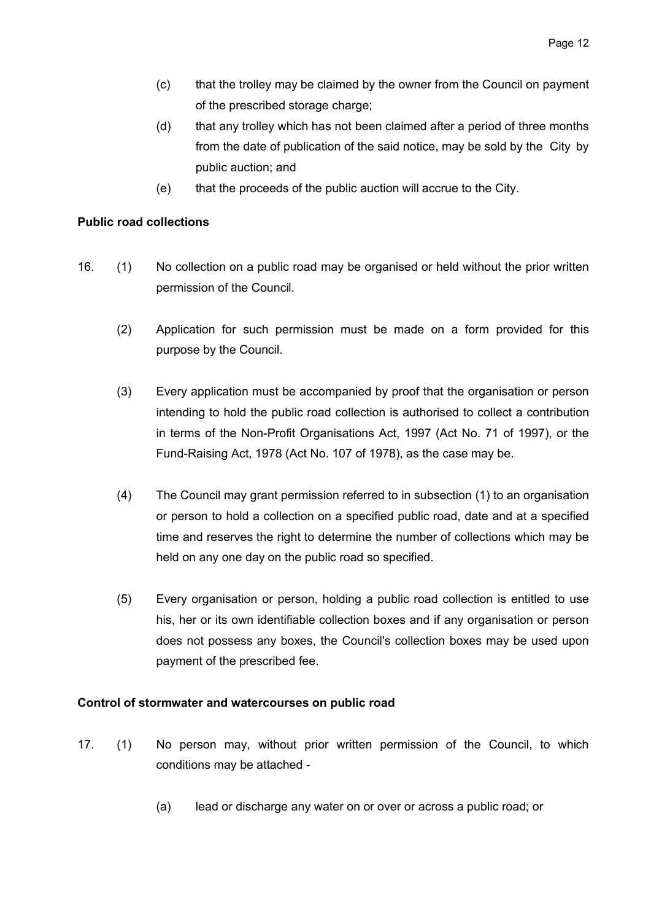- (c) that the trolley may be claimed by the owner from the Council on payment of the prescribed storage charge;
- (d) that any trolley which has not been claimed after a period of three months from the date of publication of the said notice, may be sold by the City by public auction; and
- (e) that the proceeds of the public auction will accrue to the City.

## Public road collections

- 16. (1) No collection on a public road may be organised or held without the prior written permission of the Council.
	- (2) Application for such permission must be made on a form provided for this purpose by the Council.
	- (3) Every application must be accompanied by proof that the organisation or person intending to hold the public road collection is authorised to collect a contribution in terms of the Non-Profit Organisations Act, 1997 (Act No. 71 of 1997), or the Fund-Raising Act, 1978 (Act No. 107 of 1978), as the case may be.
	- (4) The Council may grant permission referred to in subsection (1) to an organisation or person to hold a collection on a specified public road, date and at a specified time and reserves the right to determine the number of collections which may be held on any one day on the public road so specified.
	- (5) Every organisation or person, holding a public road collection is entitled to use his, her or its own identifiable collection boxes and if any organisation or person does not possess any boxes, the Council's collection boxes may be used upon payment of the prescribed fee.

# Control of stormwater and watercourses on public road

- 17. (1) No person may, without prior written permission of the Council, to which conditions may be attached -
	- (a) lead or discharge any water on or over or across a public road; or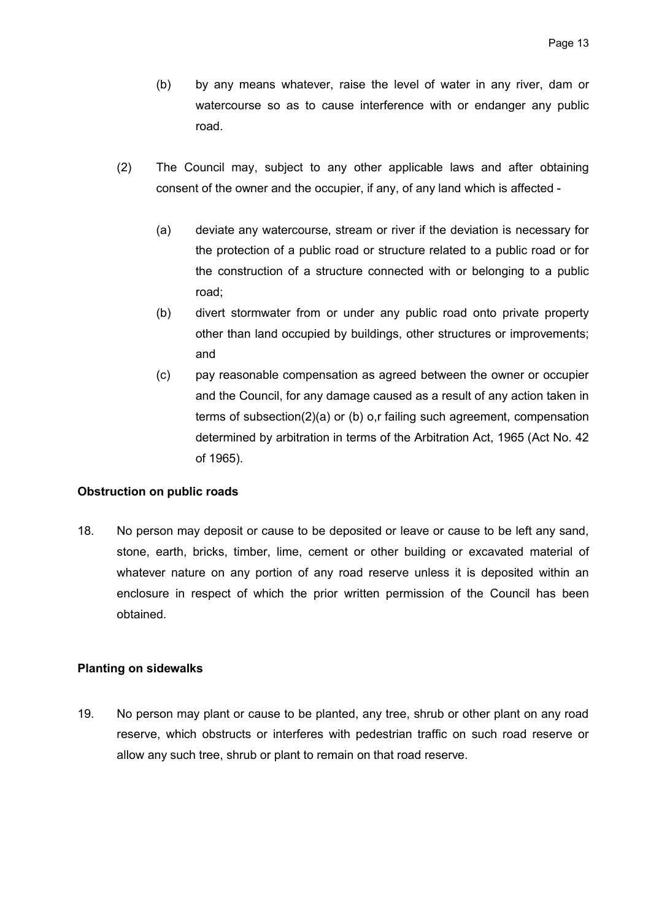- (b) by any means whatever, raise the level of water in any river, dam or watercourse so as to cause interference with or endanger any public road.
- (2) The Council may, subject to any other applicable laws and after obtaining consent of the owner and the occupier, if any, of any land which is affected -
	- (a) deviate any watercourse, stream or river if the deviation is necessary for the protection of a public road or structure related to a public road or for the construction of a structure connected with or belonging to a public road;
	- (b) divert stormwater from or under any public road onto private property other than land occupied by buildings, other structures or improvements; and
	- (c) pay reasonable compensation as agreed between the owner or occupier and the Council, for any damage caused as a result of any action taken in terms of subsection(2)(a) or (b) o,r failing such agreement, compensation determined by arbitration in terms of the Arbitration Act, 1965 (Act No. 42 of 1965).

## Obstruction on public roads

18. No person may deposit or cause to be deposited or leave or cause to be left any sand, stone, earth, bricks, timber, lime, cement or other building or excavated material of whatever nature on any portion of any road reserve unless it is deposited within an enclosure in respect of which the prior written permission of the Council has been obtained.

#### Planting on sidewalks

19. No person may plant or cause to be planted, any tree, shrub or other plant on any road reserve, which obstructs or interferes with pedestrian traffic on such road reserve or allow any such tree, shrub or plant to remain on that road reserve.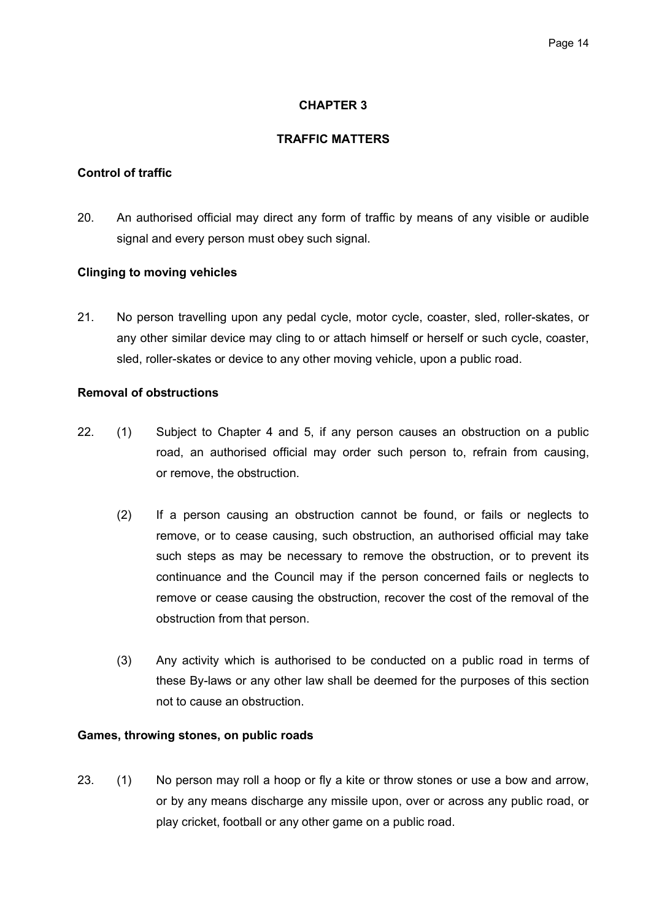## CHAPTER 3

## TRAFFIC MATTERS

## Control of traffic

20. An authorised official may direct any form of traffic by means of any visible or audible signal and every person must obey such signal.

## Clinging to moving vehicles

21. No person travelling upon any pedal cycle, motor cycle, coaster, sled, roller-skates, or any other similar device may cling to or attach himself or herself or such cycle, coaster, sled, roller-skates or device to any other moving vehicle, upon a public road.

## Removal of obstructions

- 22. (1) Subject to Chapter 4 and 5, if any person causes an obstruction on a public road, an authorised official may order such person to, refrain from causing, or remove, the obstruction.
	- (2) If a person causing an obstruction cannot be found, or fails or neglects to remove, or to cease causing, such obstruction, an authorised official may take such steps as may be necessary to remove the obstruction, or to prevent its continuance and the Council may if the person concerned fails or neglects to remove or cease causing the obstruction, recover the cost of the removal of the obstruction from that person.
	- (3) Any activity which is authorised to be conducted on a public road in terms of these By-laws or any other law shall be deemed for the purposes of this section not to cause an obstruction.

## Games, throwing stones, on public roads

23. (1) No person may roll a hoop or fly a kite or throw stones or use a bow and arrow, or by any means discharge any missile upon, over or across any public road, or play cricket, football or any other game on a public road.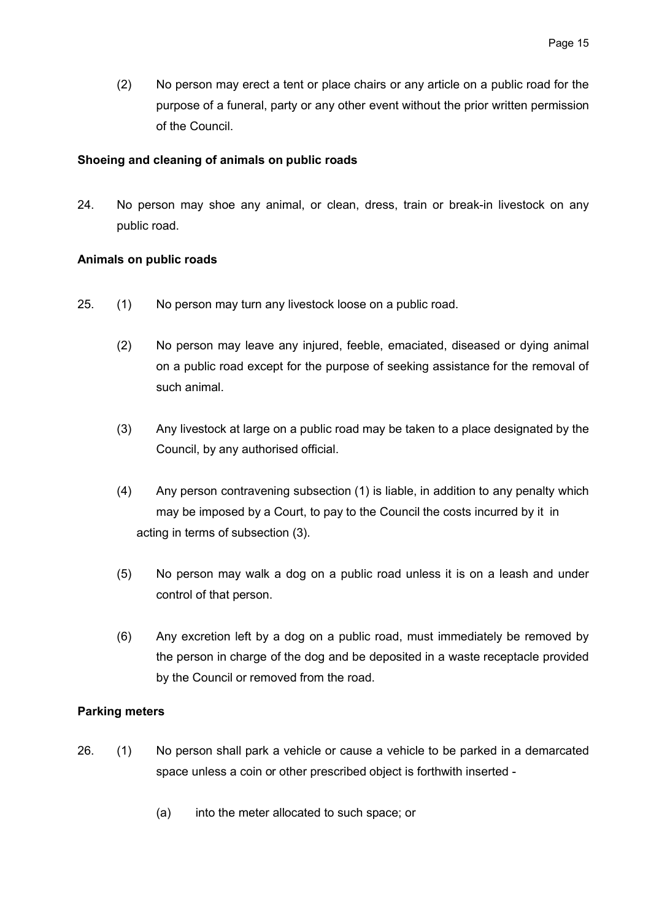(2) No person may erect a tent or place chairs or any article on a public road for the purpose of a funeral, party or any other event without the prior written permission of the Council.

## Shoeing and cleaning of animals on public roads

24. No person may shoe any animal, or clean, dress, train or break-in livestock on any public road.

## Animals on public roads

- 25. (1) No person may turn any livestock loose on a public road.
	- (2) No person may leave any injured, feeble, emaciated, diseased or dying animal on a public road except for the purpose of seeking assistance for the removal of such animal.
	- (3) Any livestock at large on a public road may be taken to a place designated by the Council, by any authorised official.
	- (4) Any person contravening subsection (1) is liable, in addition to any penalty which may be imposed by a Court, to pay to the Council the costs incurred by it in acting in terms of subsection (3).
	- (5) No person may walk a dog on a public road unless it is on a leash and under control of that person.
	- (6) Any excretion left by a dog on a public road, must immediately be removed by the person in charge of the dog and be deposited in a waste receptacle provided by the Council or removed from the road.

## Parking meters

- 26. (1) No person shall park a vehicle or cause a vehicle to be parked in a demarcated space unless a coin or other prescribed object is forthwith inserted -
	- (a) into the meter allocated to such space; or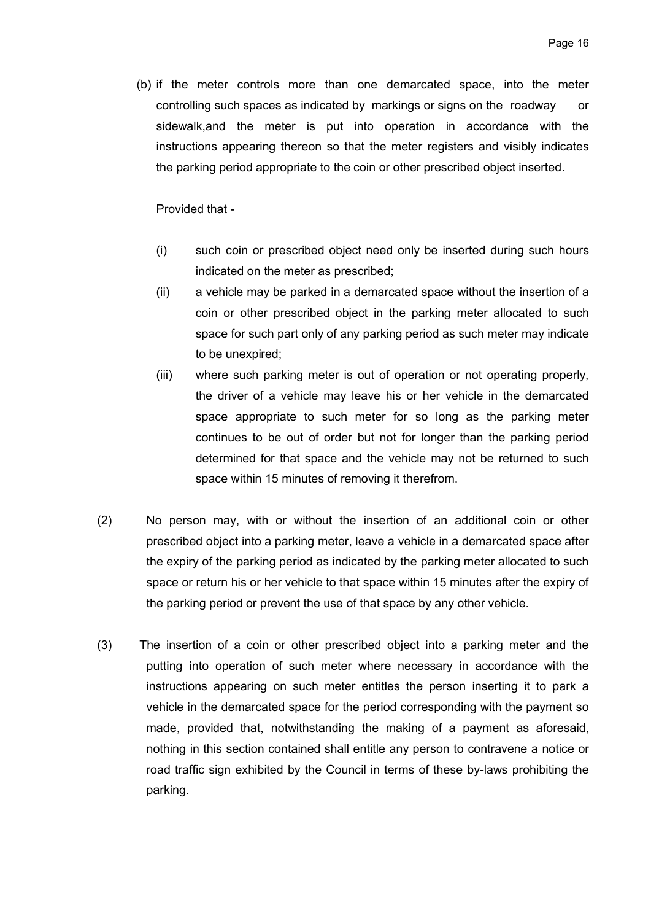(b) if the meter controls more than one demarcated space, into the meter controlling such spaces as indicated by markings or signs on the roadway or sidewalk,and the meter is put into operation in accordance with the instructions appearing thereon so that the meter registers and visibly indicates the parking period appropriate to the coin or other prescribed object inserted.

#### Provided that -

- (i) such coin or prescribed object need only be inserted during such hours indicated on the meter as prescribed;
- (ii) a vehicle may be parked in a demarcated space without the insertion of a coin or other prescribed object in the parking meter allocated to such space for such part only of any parking period as such meter may indicate to be unexpired;
- (iii) where such parking meter is out of operation or not operating properly, the driver of a vehicle may leave his or her vehicle in the demarcated space appropriate to such meter for so long as the parking meter continues to be out of order but not for longer than the parking period determined for that space and the vehicle may not be returned to such space within 15 minutes of removing it therefrom.
- (2) No person may, with or without the insertion of an additional coin or other prescribed object into a parking meter, leave a vehicle in a demarcated space after the expiry of the parking period as indicated by the parking meter allocated to such space or return his or her vehicle to that space within 15 minutes after the expiry of the parking period or prevent the use of that space by any other vehicle.
- (3) The insertion of a coin or other prescribed object into a parking meter and the putting into operation of such meter where necessary in accordance with the instructions appearing on such meter entitles the person inserting it to park a vehicle in the demarcated space for the period corresponding with the payment so made, provided that, notwithstanding the making of a payment as aforesaid, nothing in this section contained shall entitle any person to contravene a notice or road traffic sign exhibited by the Council in terms of these by-laws prohibiting the parking.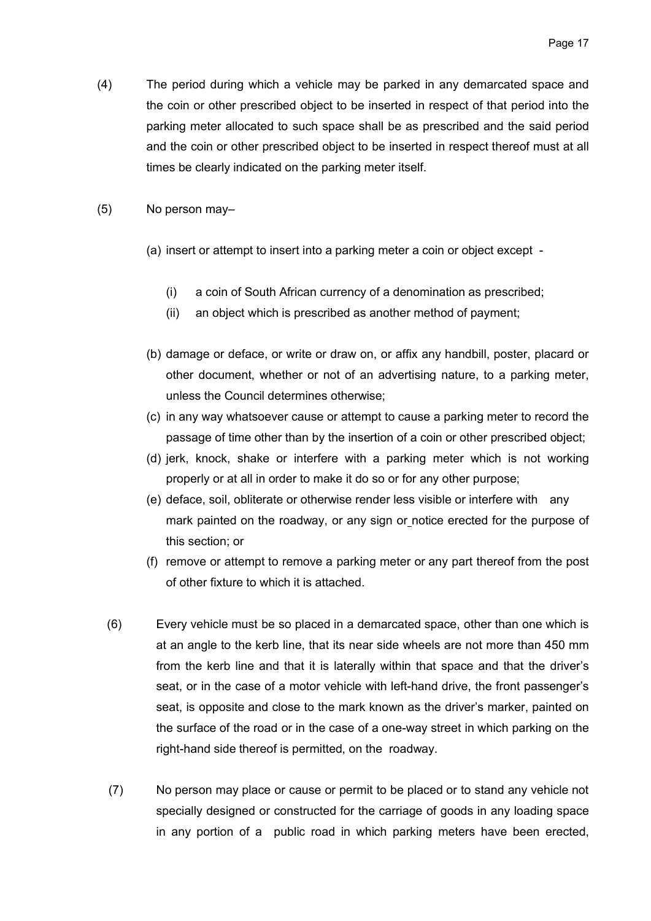- (4) The period during which a vehicle may be parked in any demarcated space and the coin or other prescribed object to be inserted in respect of that period into the parking meter allocated to such space shall be as prescribed and the said period and the coin or other prescribed object to be inserted in respect thereof must at all times be clearly indicated on the parking meter itself.
- (5) No person may–
	- (a) insert or attempt to insert into a parking meter a coin or object except
		- (i) a coin of South African currency of a denomination as prescribed;
		- (ii) an object which is prescribed as another method of payment;
	- (b) damage or deface, or write or draw on, or affix any handbill, poster, placard or other document, whether or not of an advertising nature, to a parking meter, unless the Council determines otherwise;
	- (c) in any way whatsoever cause or attempt to cause a parking meter to record the passage of time other than by the insertion of a coin or other prescribed object;
	- (d) jerk, knock, shake or interfere with a parking meter which is not working properly or at all in order to make it do so or for any other purpose;
	- (e) deface, soil, obliterate or otherwise render less visible or interfere with any mark painted on the roadway, or any sign or notice erected for the purpose of this section; or
	- (f) remove or attempt to remove a parking meter or any part thereof from the post of other fixture to which it is attached.
	- (6) Every vehicle must be so placed in a demarcated space, other than one which is at an angle to the kerb line, that its near side wheels are not more than 450 mm from the kerb line and that it is laterally within that space and that the driver's seat, or in the case of a motor vehicle with left-hand drive, the front passenger's seat, is opposite and close to the mark known as the driver's marker, painted on the surface of the road or in the case of a one-way street in which parking on the right-hand side thereof is permitted, on the roadway.
	- (7) No person may place or cause or permit to be placed or to stand any vehicle not specially designed or constructed for the carriage of goods in any loading space in any portion of a public road in which parking meters have been erected,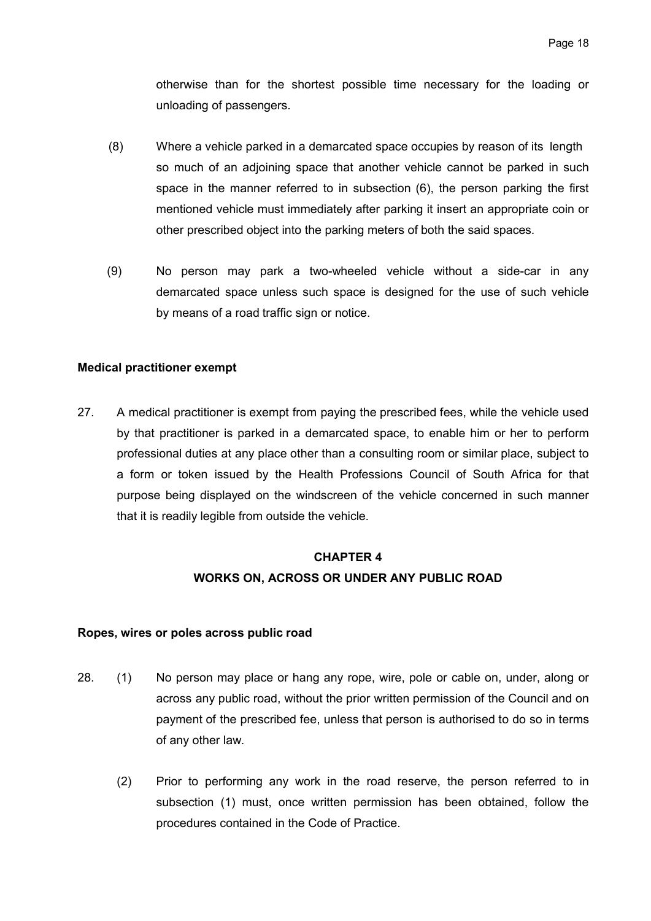otherwise than for the shortest possible time necessary for the loading or unloading of passengers.

- (8) Where a vehicle parked in a demarcated space occupies by reason of its length so much of an adjoining space that another vehicle cannot be parked in such space in the manner referred to in subsection (6), the person parking the first mentioned vehicle must immediately after parking it insert an appropriate coin or other prescribed object into the parking meters of both the said spaces.
- (9) No person may park a two-wheeled vehicle without a side-car in any demarcated space unless such space is designed for the use of such vehicle by means of a road traffic sign or notice.

#### Medical practitioner exempt

27. A medical practitioner is exempt from paying the prescribed fees, while the vehicle used by that practitioner is parked in a demarcated space, to enable him or her to perform professional duties at any place other than a consulting room or similar place, subject to a form or token issued by the Health Professions Council of South Africa for that purpose being displayed on the windscreen of the vehicle concerned in such manner that it is readily legible from outside the vehicle.

# CHAPTER 4

## WORKS ON, ACROSS OR UNDER ANY PUBLIC ROAD

## Ropes, wires or poles across public road

- 28. (1) No person may place or hang any rope, wire, pole or cable on, under, along or across any public road, without the prior written permission of the Council and on payment of the prescribed fee, unless that person is authorised to do so in terms of any other law.
	- (2) Prior to performing any work in the road reserve, the person referred to in subsection (1) must, once written permission has been obtained, follow the procedures contained in the Code of Practice.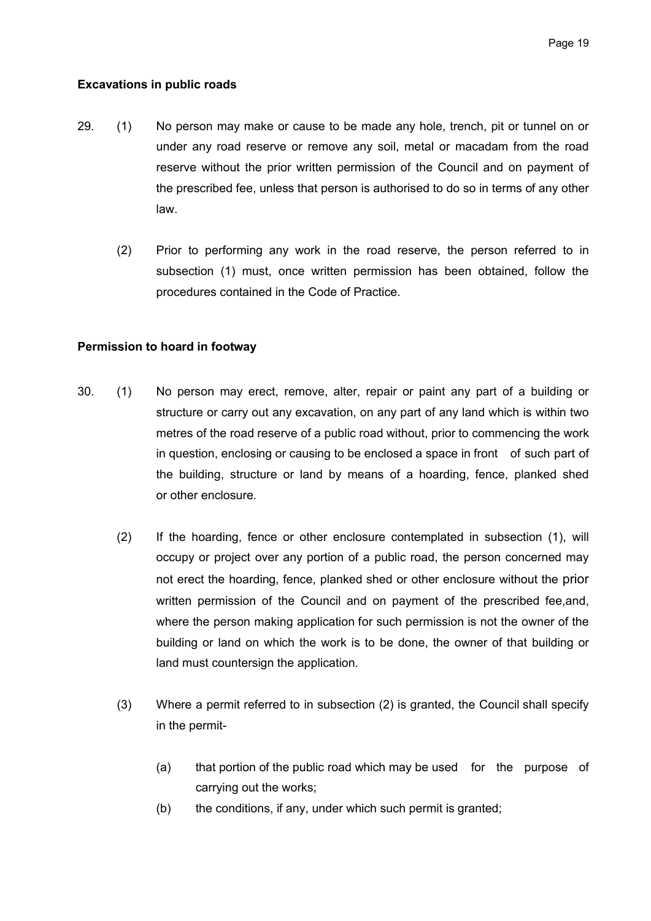#### Excavations in public roads

- 29. (1) No person may make or cause to be made any hole, trench, pit or tunnel on or under any road reserve or remove any soil, metal or macadam from the road reserve without the prior written permission of the Council and on payment of the prescribed fee, unless that person is authorised to do so in terms of any other law.
	- (2) Prior to performing any work in the road reserve, the person referred to in subsection (1) must, once written permission has been obtained, follow the procedures contained in the Code of Practice.

#### Permission to hoard in footway

- 30. (1) No person may erect, remove, alter, repair or paint any part of a building or structure or carry out any excavation, on any part of any land which is within two metres of the road reserve of a public road without, prior to commencing the work in question, enclosing or causing to be enclosed a space in front of such part of the building, structure or land by means of a hoarding, fence, planked shed or other enclosure.
	- (2) If the hoarding, fence or other enclosure contemplated in subsection (1), will occupy or project over any portion of a public road, the person concerned may not erect the hoarding, fence, planked shed or other enclosure without the prior written permission of the Council and on payment of the prescribed fee,and, where the person making application for such permission is not the owner of the building or land on which the work is to be done, the owner of that building or land must countersign the application.
	- (3) Where a permit referred to in subsection (2) is granted, the Council shall specify in the permit-
		- (a) that portion of the public road which may be used for the purpose of carrying out the works;
		- (b) the conditions, if any, under which such permit is granted;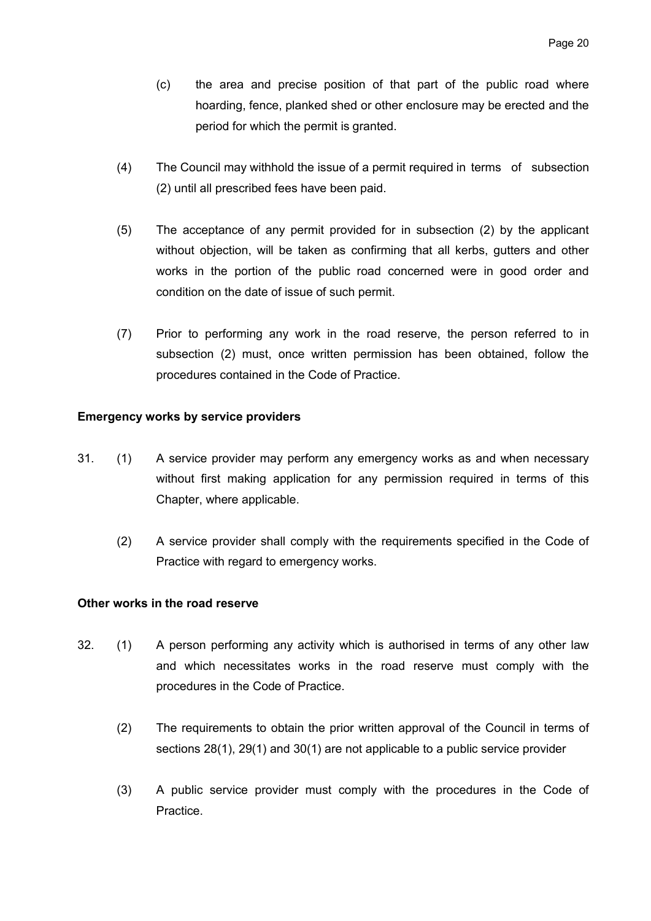- (c) the area and precise position of that part of the public road where hoarding, fence, planked shed or other enclosure may be erected and the period for which the permit is granted.
- (4) The Council may withhold the issue of a permit required in terms of subsection (2) until all prescribed fees have been paid.
- (5) The acceptance of any permit provided for in subsection (2) by the applicant without objection, will be taken as confirming that all kerbs, gutters and other works in the portion of the public road concerned were in good order and condition on the date of issue of such permit.
- (7) Prior to performing any work in the road reserve, the person referred to in subsection (2) must, once written permission has been obtained, follow the procedures contained in the Code of Practice.

# Emergency works by service providers

- 31. (1) A service provider may perform any emergency works as and when necessary without first making application for any permission required in terms of this Chapter, where applicable.
	- (2) A service provider shall comply with the requirements specified in the Code of Practice with regard to emergency works.

## Other works in the road reserve

- 32. (1) A person performing any activity which is authorised in terms of any other law and which necessitates works in the road reserve must comply with the procedures in the Code of Practice.
	- (2) The requirements to obtain the prior written approval of the Council in terms of sections 28(1), 29(1) and 30(1) are not applicable to a public service provider
	- (3) A public service provider must comply with the procedures in the Code of **Practice**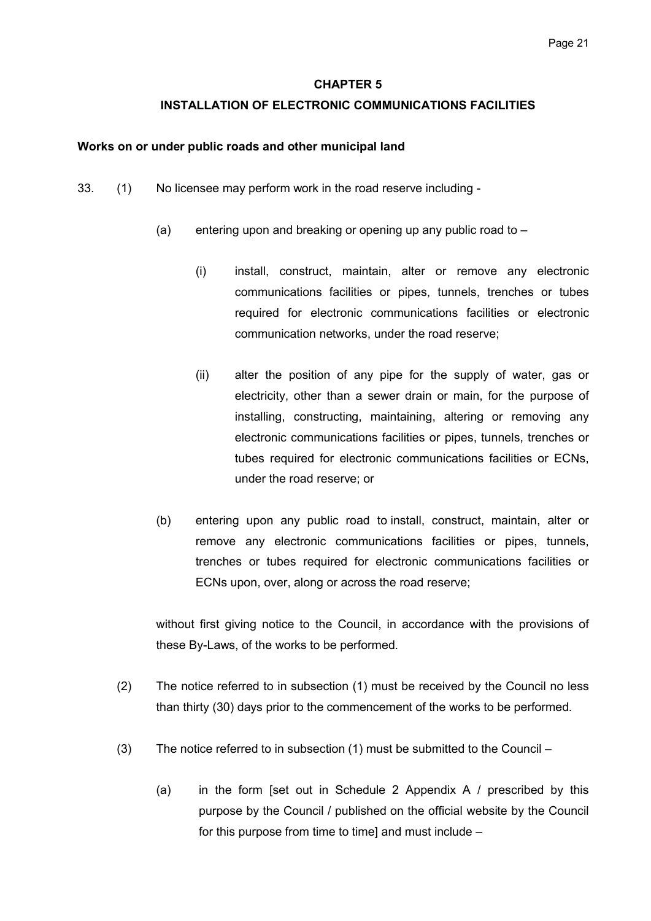## CHAPTER 5

## INSTALLATION OF ELECTRONIC COMMUNICATIONS FACILITIES

#### Works on or under public roads and other municipal land

- 33. (1) No licensee may perform work in the road reserve including
	- (a) entering upon and breaking or opening up any public road to
		- (i) install, construct, maintain, alter or remove any electronic communications facilities or pipes, tunnels, trenches or tubes required for electronic communications facilities or electronic communication networks, under the road reserve;
		- (ii) alter the position of any pipe for the supply of water, gas or electricity, other than a sewer drain or main, for the purpose of installing, constructing, maintaining, altering or removing any electronic communications facilities or pipes, tunnels, trenches or tubes required for electronic communications facilities or ECNs, under the road reserve; or
	- (b) entering upon any public road to install, construct, maintain, alter or remove any electronic communications facilities or pipes, tunnels, trenches or tubes required for electronic communications facilities or ECNs upon, over, along or across the road reserve;

without first giving notice to the Council, in accordance with the provisions of these By-Laws, of the works to be performed.

- (2) The notice referred to in subsection (1) must be received by the Council no less than thirty (30) days prior to the commencement of the works to be performed.
- (3) The notice referred to in subsection (1) must be submitted to the Council
	- (a) in the form [set out in Schedule 2 Appendix A  $/$  prescribed by this purpose by the Council / published on the official website by the Council for this purpose from time to time] and must include –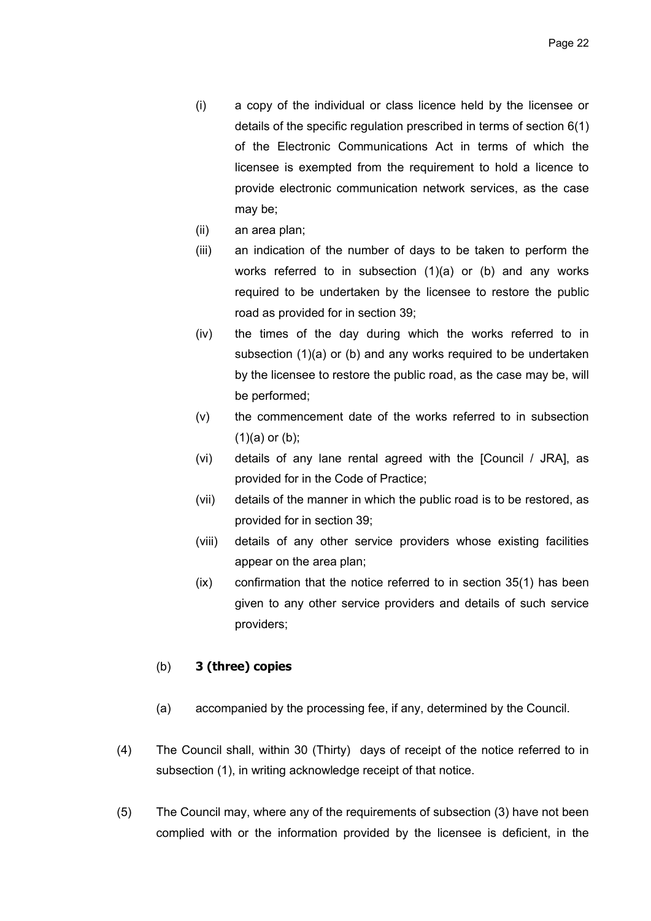- (i) a copy of the individual or class licence held by the licensee or details of the specific regulation prescribed in terms of section 6(1) of the Electronic Communications Act in terms of which the licensee is exempted from the requirement to hold a licence to provide electronic communication network services, as the case may be;
- (ii) an area plan;
- (iii) an indication of the number of days to be taken to perform the works referred to in subsection (1)(a) or (b) and any works required to be undertaken by the licensee to restore the public road as provided for in section 39;
- (iv) the times of the day during which the works referred to in subsection (1)(a) or (b) and any works required to be undertaken by the licensee to restore the public road, as the case may be, will be performed;
- (v) the commencement date of the works referred to in subsection  $(1)(a)$  or  $(b)$ :
- (vi) details of any lane rental agreed with the [Council / JRA], as provided for in the Code of Practice;
- (vii) details of the manner in which the public road is to be restored, as provided for in section 39;
- (viii) details of any other service providers whose existing facilities appear on the area plan;
- (ix) confirmation that the notice referred to in section 35(1) has been given to any other service providers and details of such service providers;

# (b) 3 (three) copies

- (a) accompanied by the processing fee, if any, determined by the Council.
- (4) The Council shall, within 30 (Thirty) days of receipt of the notice referred to in subsection (1), in writing acknowledge receipt of that notice.
- (5) The Council may, where any of the requirements of subsection (3) have not been complied with or the information provided by the licensee is deficient, in the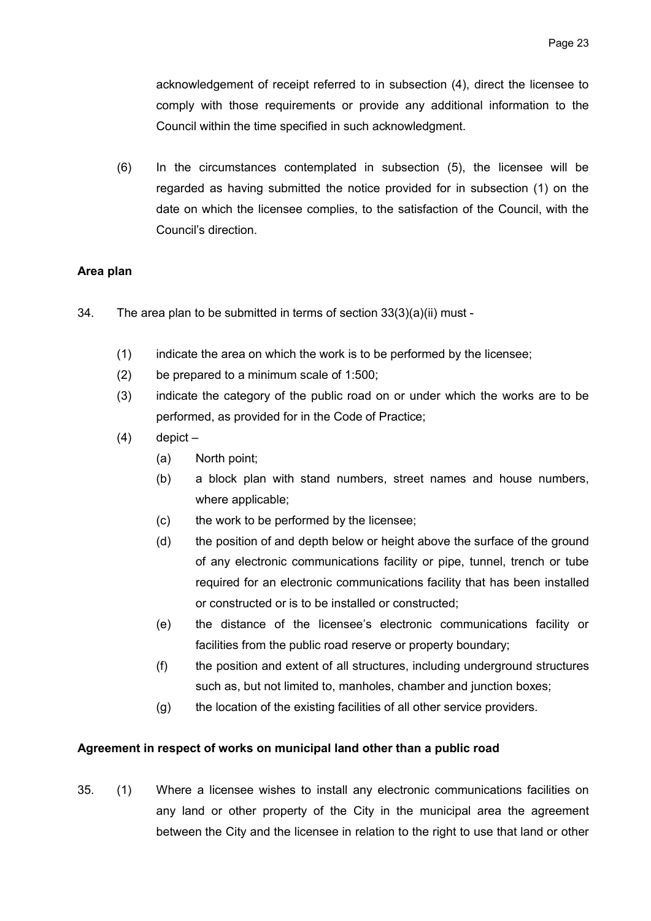acknowledgement of receipt referred to in subsection (4), direct the licensee to comply with those requirements or provide any additional information to the Council within the time specified in such acknowledgment.

(6) In the circumstances contemplated in subsection (5), the licensee will be regarded as having submitted the notice provided for in subsection (1) on the date on which the licensee complies, to the satisfaction of the Council, with the Council's direction.

# Area plan

- 34. The area plan to be submitted in terms of section 33(3)(a)(ii) must
	- (1) indicate the area on which the work is to be performed by the licensee;
	- (2) be prepared to a minimum scale of 1:500;
	- (3) indicate the category of the public road on or under which the works are to be performed, as provided for in the Code of Practice;
	- (4) depict
		- (a) North point;
		- (b) a block plan with stand numbers, street names and house numbers, where applicable;
		- (c) the work to be performed by the licensee;
		- (d) the position of and depth below or height above the surface of the ground of any electronic communications facility or pipe, tunnel, trench or tube required for an electronic communications facility that has been installed or constructed or is to be installed or constructed;
		- (e) the distance of the licensee's electronic communications facility or facilities from the public road reserve or property boundary;
		- (f) the position and extent of all structures, including underground structures such as, but not limited to, manholes, chamber and junction boxes;
		- (g) the location of the existing facilities of all other service providers.

# Agreement in respect of works on municipal land other than a public road

35. (1) Where a licensee wishes to install any electronic communications facilities on any land or other property of the City in the municipal area the agreement between the City and the licensee in relation to the right to use that land or other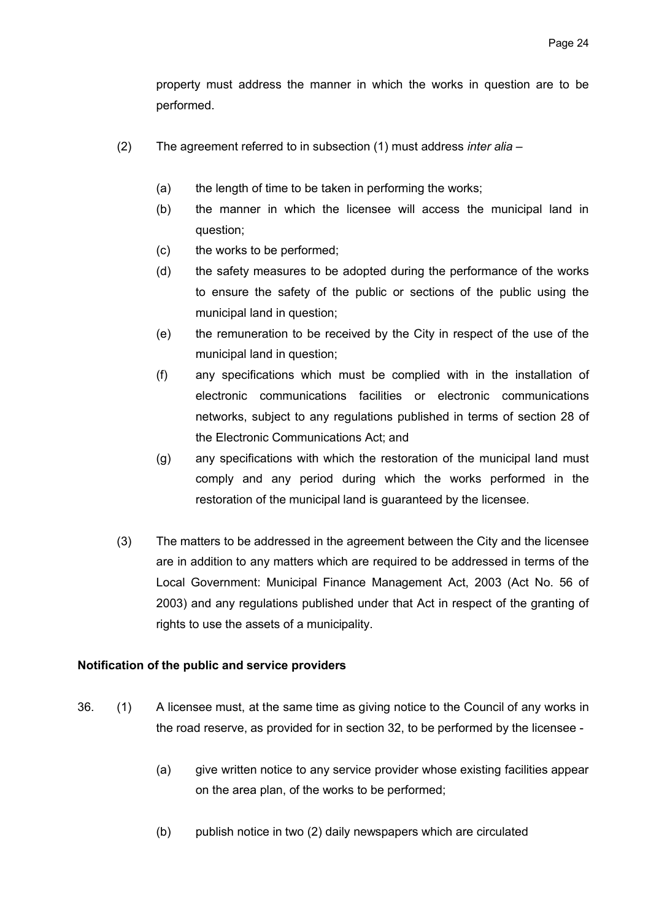property must address the manner in which the works in question are to be performed.

- (2) The agreement referred to in subsection (1) must address *inter alia* 
	- (a) the length of time to be taken in performing the works;
	- (b) the manner in which the licensee will access the municipal land in question;
	- (c) the works to be performed;
	- (d) the safety measures to be adopted during the performance of the works to ensure the safety of the public or sections of the public using the municipal land in question;
	- (e) the remuneration to be received by the City in respect of the use of the municipal land in question;
	- (f) any specifications which must be complied with in the installation of electronic communications facilities or electronic communications networks, subject to any regulations published in terms of section 28 of the Electronic Communications Act; and
	- (g) any specifications with which the restoration of the municipal land must comply and any period during which the works performed in the restoration of the municipal land is guaranteed by the licensee.
- (3) The matters to be addressed in the agreement between the City and the licensee are in addition to any matters which are required to be addressed in terms of the Local Government: Municipal Finance Management Act, 2003 (Act No. 56 of 2003) and any regulations published under that Act in respect of the granting of rights to use the assets of a municipality.

## Notification of the public and service providers

- 36. (1) A licensee must, at the same time as giving notice to the Council of any works in the road reserve, as provided for in section 32, to be performed by the licensee -
	- (a) give written notice to any service provider whose existing facilities appear on the area plan, of the works to be performed;
	- (b) publish notice in two (2) daily newspapers which are circulated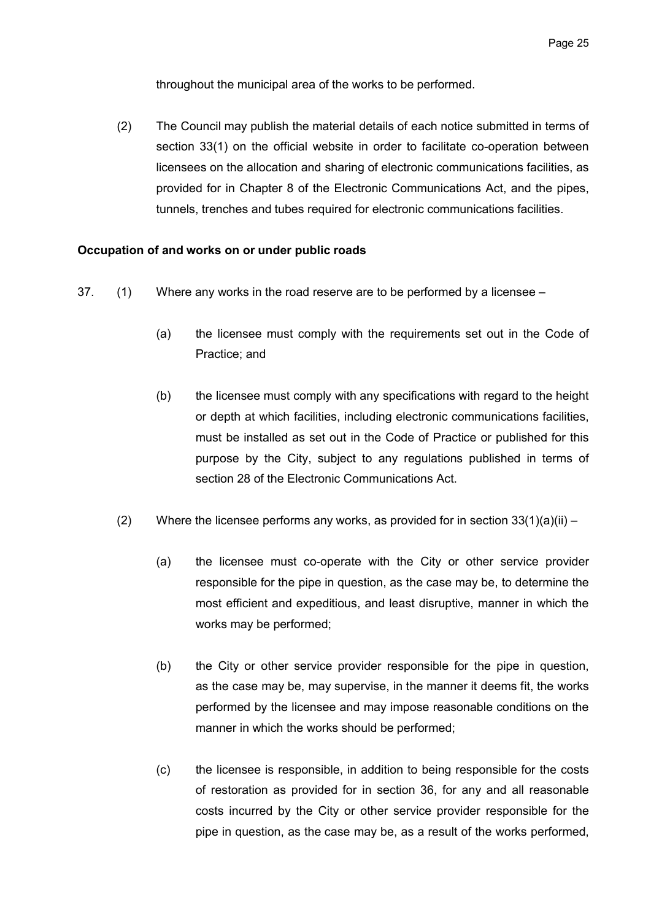throughout the municipal area of the works to be performed.

(2) The Council may publish the material details of each notice submitted in terms of section 33(1) on the official website in order to facilitate co-operation between licensees on the allocation and sharing of electronic communications facilities, as provided for in Chapter 8 of the Electronic Communications Act, and the pipes, tunnels, trenches and tubes required for electronic communications facilities.

## Occupation of and works on or under public roads

- 37. (1) Where any works in the road reserve are to be performed by a licensee
	- (a) the licensee must comply with the requirements set out in the Code of Practice; and
	- (b) the licensee must comply with any specifications with regard to the height or depth at which facilities, including electronic communications facilities, must be installed as set out in the Code of Practice or published for this purpose by the City, subject to any regulations published in terms of section 28 of the Electronic Communications Act.
	- (2) Where the licensee performs any works, as provided for in section  $33(1)(a)(ii)$ 
		- (a) the licensee must co-operate with the City or other service provider responsible for the pipe in question, as the case may be, to determine the most efficient and expeditious, and least disruptive, manner in which the works may be performed;
		- (b) the City or other service provider responsible for the pipe in question, as the case may be, may supervise, in the manner it deems fit, the works performed by the licensee and may impose reasonable conditions on the manner in which the works should be performed;
		- (c) the licensee is responsible, in addition to being responsible for the costs of restoration as provided for in section 36, for any and all reasonable costs incurred by the City or other service provider responsible for the pipe in question, as the case may be, as a result of the works performed,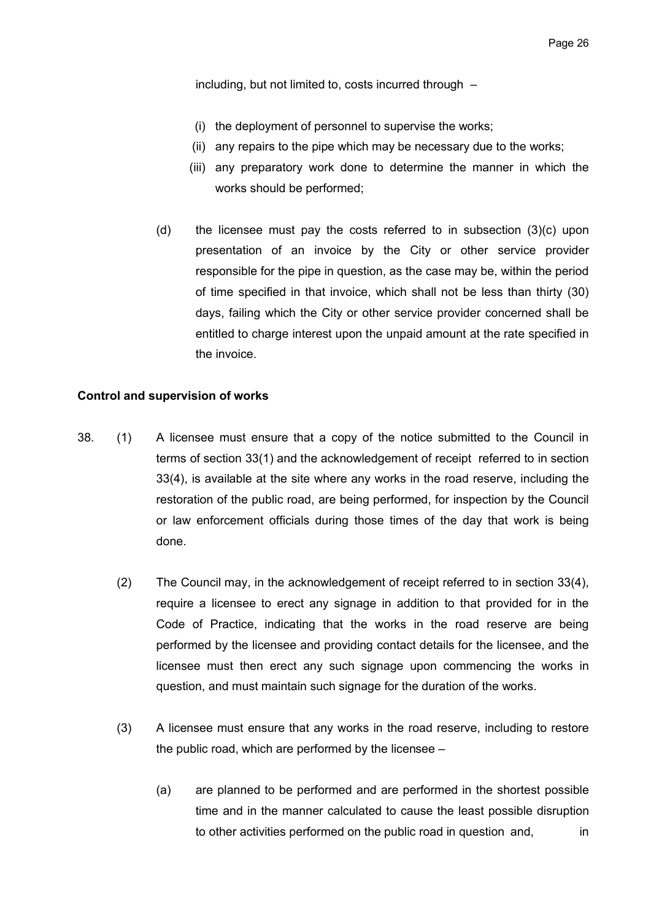including, but not limited to, costs incurred through –

- (i) the deployment of personnel to supervise the works;
- (ii) any repairs to the pipe which may be necessary due to the works;
- (iii) any preparatory work done to determine the manner in which the works should be performed;
- (d) the licensee must pay the costs referred to in subsection (3)(c) upon presentation of an invoice by the City or other service provider responsible for the pipe in question, as the case may be, within the period of time specified in that invoice, which shall not be less than thirty (30) days, failing which the City or other service provider concerned shall be entitled to charge interest upon the unpaid amount at the rate specified in the invoice.

#### Control and supervision of works

- 38. (1) A licensee must ensure that a copy of the notice submitted to the Council in terms of section 33(1) and the acknowledgement of receipt referred to in section 33(4), is available at the site where any works in the road reserve, including the restoration of the public road, are being performed, for inspection by the Council or law enforcement officials during those times of the day that work is being done.
	- (2) The Council may, in the acknowledgement of receipt referred to in section 33(4), require a licensee to erect any signage in addition to that provided for in the Code of Practice, indicating that the works in the road reserve are being performed by the licensee and providing contact details for the licensee, and the licensee must then erect any such signage upon commencing the works in question, and must maintain such signage for the duration of the works.
	- (3) A licensee must ensure that any works in the road reserve, including to restore the public road, which are performed by the licensee –
		- (a) are planned to be performed and are performed in the shortest possible time and in the manner calculated to cause the least possible disruption to other activities performed on the public road in question and.  $\qquad \qquad$  in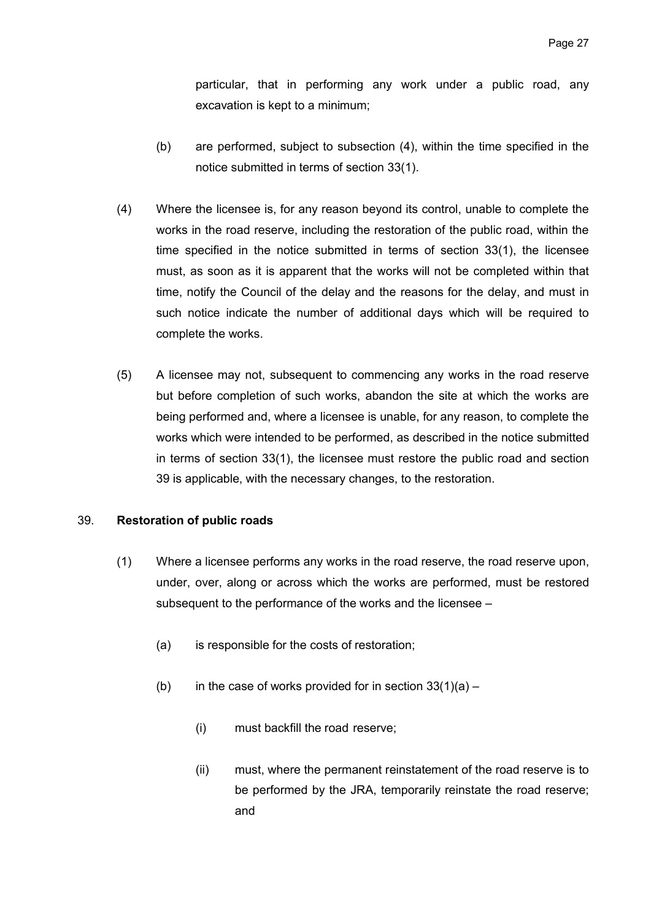particular, that in performing any work under a public road, any excavation is kept to a minimum;

- (b) are performed, subject to subsection (4), within the time specified in the notice submitted in terms of section 33(1).
- (4) Where the licensee is, for any reason beyond its control, unable to complete the works in the road reserve, including the restoration of the public road, within the time specified in the notice submitted in terms of section 33(1), the licensee must, as soon as it is apparent that the works will not be completed within that time, notify the Council of the delay and the reasons for the delay, and must in such notice indicate the number of additional days which will be required to complete the works.
- (5) A licensee may not, subsequent to commencing any works in the road reserve but before completion of such works, abandon the site at which the works are being performed and, where a licensee is unable, for any reason, to complete the works which were intended to be performed, as described in the notice submitted in terms of section 33(1), the licensee must restore the public road and section 39 is applicable, with the necessary changes, to the restoration.

# 39. Restoration of public roads

- (1) Where a licensee performs any works in the road reserve, the road reserve upon, under, over, along or across which the works are performed, must be restored subsequent to the performance of the works and the licensee –
	- (a) is responsible for the costs of restoration;
	- (b) in the case of works provided for in section  $33(1)(a)$ 
		- (i) must backfill the road reserve;
		- (ii) must, where the permanent reinstatement of the road reserve is to be performed by the JRA, temporarily reinstate the road reserve; and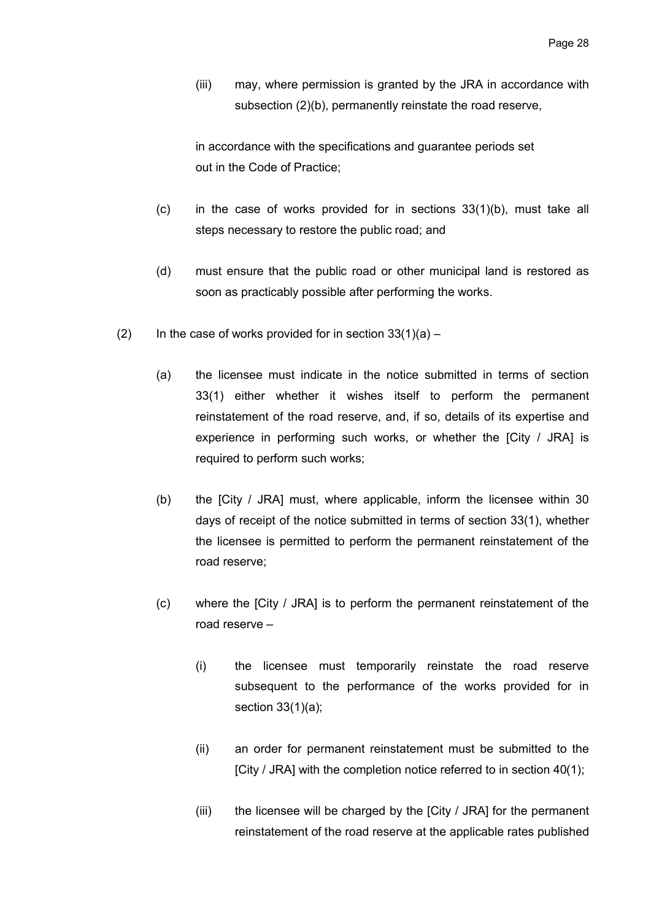(iii) may, where permission is granted by the JRA in accordance with subsection (2)(b), permanently reinstate the road reserve,

in accordance with the specifications and guarantee periods set out in the Code of Practice;

- (c) in the case of works provided for in sections 33(1)(b), must take all steps necessary to restore the public road; and
- (d) must ensure that the public road or other municipal land is restored as soon as practicably possible after performing the works.
- (2) In the case of works provided for in section  $33(1)(a) -$ 
	- (a) the licensee must indicate in the notice submitted in terms of section 33(1) either whether it wishes itself to perform the permanent reinstatement of the road reserve, and, if so, details of its expertise and experience in performing such works, or whether the [City / JRA] is required to perform such works;
	- (b) the [City / JRA] must, where applicable, inform the licensee within 30 days of receipt of the notice submitted in terms of section 33(1), whether the licensee is permitted to perform the permanent reinstatement of the road reserve;
	- (c) where the [City / JRA] is to perform the permanent reinstatement of the road reserve –
		- (i) the licensee must temporarily reinstate the road reserve subsequent to the performance of the works provided for in section 33(1)(a);
		- (ii) an order for permanent reinstatement must be submitted to the [City / JRA] with the completion notice referred to in section 40(1);
		- (iii) the licensee will be charged by the [City / JRA] for the permanent reinstatement of the road reserve at the applicable rates published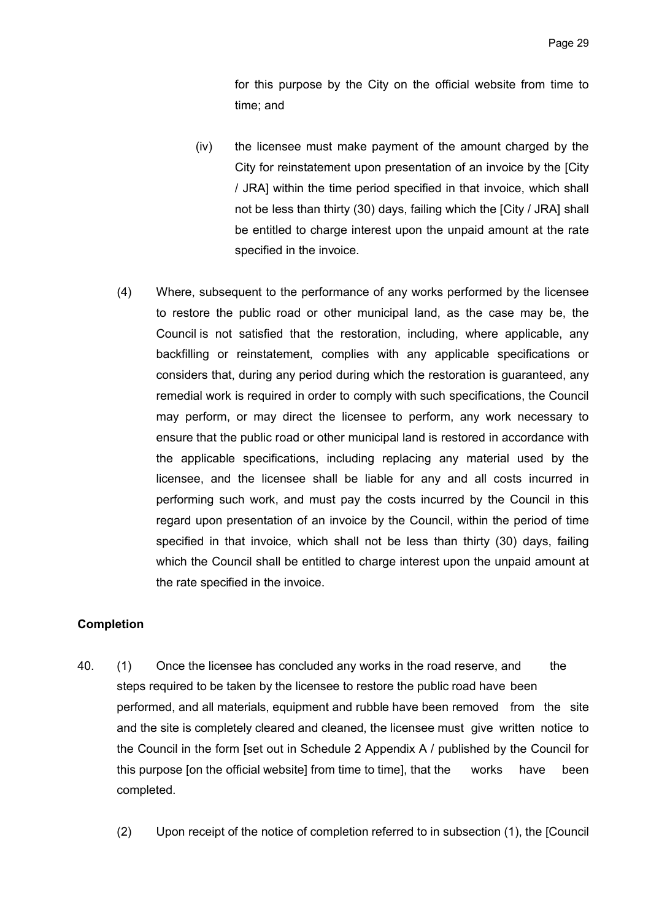for this purpose by the City on the official website from time to time; and

- (iv) the licensee must make payment of the amount charged by the City for reinstatement upon presentation of an invoice by the [City / JRA] within the time period specified in that invoice, which shall not be less than thirty (30) days, failing which the [City / JRA] shall be entitled to charge interest upon the unpaid amount at the rate specified in the invoice.
- (4) Where, subsequent to the performance of any works performed by the licensee to restore the public road or other municipal land, as the case may be, the Council is not satisfied that the restoration, including, where applicable, any backfilling or reinstatement, complies with any applicable specifications or considers that, during any period during which the restoration is guaranteed, any remedial work is required in order to comply with such specifications, the Council may perform, or may direct the licensee to perform, any work necessary to ensure that the public road or other municipal land is restored in accordance with the applicable specifications, including replacing any material used by the licensee, and the licensee shall be liable for any and all costs incurred in performing such work, and must pay the costs incurred by the Council in this regard upon presentation of an invoice by the Council, within the period of time specified in that invoice, which shall not be less than thirty (30) days, failing which the Council shall be entitled to charge interest upon the unpaid amount at the rate specified in the invoice.

#### Completion

- 40. (1) Once the licensee has concluded any works in the road reserve, and the steps required to be taken by the licensee to restore the public road have been performed, and all materials, equipment and rubble have been removed from the site and the site is completely cleared and cleaned, the licensee must give written notice to the Council in the form [set out in Schedule 2 Appendix A / published by the Council for this purpose [on the official website] from time to time], that the works have been completed.
	- (2) Upon receipt of the notice of completion referred to in subsection (1), the [Council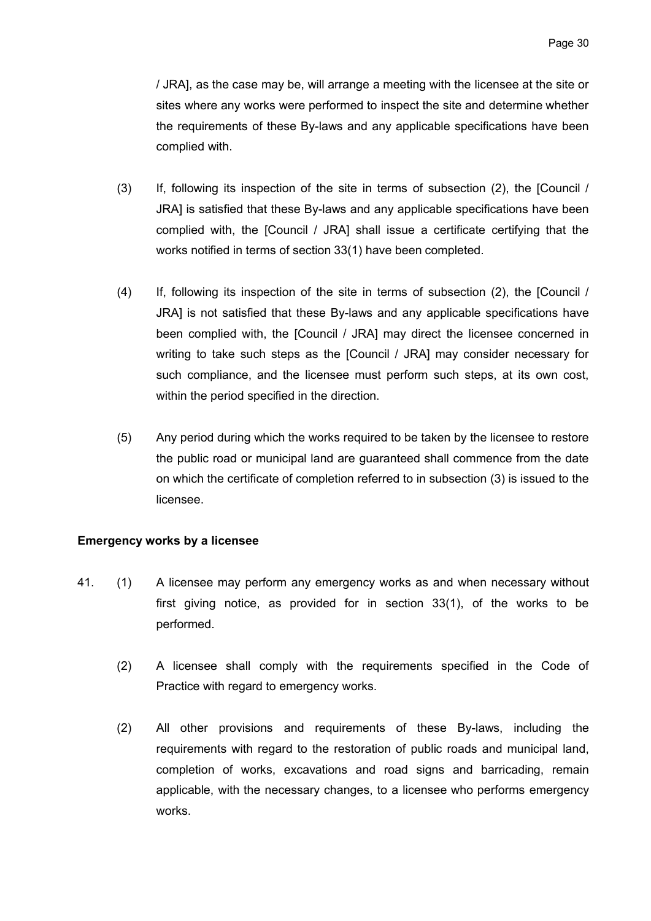/ JRA], as the case may be, will arrange a meeting with the licensee at the site or sites where any works were performed to inspect the site and determine whether the requirements of these By-laws and any applicable specifications have been complied with.

- (3) If, following its inspection of the site in terms of subsection (2), the [Council / JRA] is satisfied that these By-laws and any applicable specifications have been complied with, the [Council / JRA] shall issue a certificate certifying that the works notified in terms of section 33(1) have been completed.
- (4) If, following its inspection of the site in terms of subsection (2), the [Council / JRA] is not satisfied that these By-laws and any applicable specifications have been complied with, the [Council / JRA] may direct the licensee concerned in writing to take such steps as the [Council / JRA] may consider necessary for such compliance, and the licensee must perform such steps, at its own cost, within the period specified in the direction.
- (5) Any period during which the works required to be taken by the licensee to restore the public road or municipal land are guaranteed shall commence from the date on which the certificate of completion referred to in subsection (3) is issued to the licensee.

# Emergency works by a licensee

- 41. (1) A licensee may perform any emergency works as and when necessary without first giving notice, as provided for in section 33(1), of the works to be performed.
	- (2) A licensee shall comply with the requirements specified in the Code of Practice with regard to emergency works.
	- (2) All other provisions and requirements of these By-laws, including the requirements with regard to the restoration of public roads and municipal land, completion of works, excavations and road signs and barricading, remain applicable, with the necessary changes, to a licensee who performs emergency works.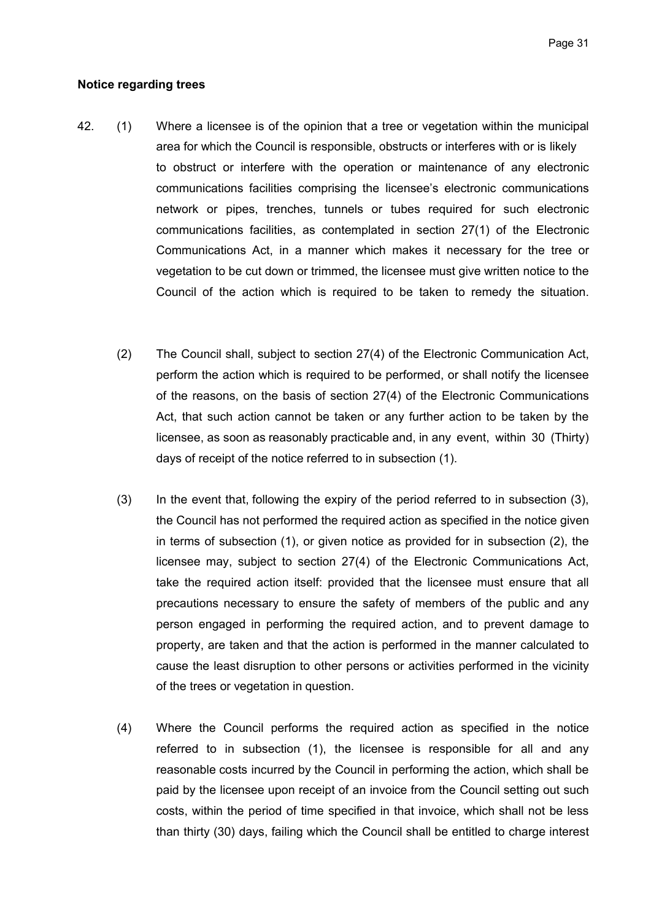#### Notice regarding trees

- 42. (1) Where a licensee is of the opinion that a tree or vegetation within the municipal area for which the Council is responsible, obstructs or interferes with or is likely to obstruct or interfere with the operation or maintenance of any electronic communications facilities comprising the licensee's electronic communications network or pipes, trenches, tunnels or tubes required for such electronic communications facilities, as contemplated in section 27(1) of the Electronic Communications Act, in a manner which makes it necessary for the tree or vegetation to be cut down or trimmed, the licensee must give written notice to the Council of the action which is required to be taken to remedy the situation.
	- (2) The Council shall, subject to section 27(4) of the Electronic Communication Act, perform the action which is required to be performed, or shall notify the licensee of the reasons, on the basis of section 27(4) of the Electronic Communications Act, that such action cannot be taken or any further action to be taken by the licensee, as soon as reasonably practicable and, in any event, within 30 (Thirty) days of receipt of the notice referred to in subsection (1).
	- (3) In the event that, following the expiry of the period referred to in subsection (3), the Council has not performed the required action as specified in the notice given in terms of subsection (1), or given notice as provided for in subsection (2), the licensee may, subject to section 27(4) of the Electronic Communications Act, take the required action itself: provided that the licensee must ensure that all precautions necessary to ensure the safety of members of the public and any person engaged in performing the required action, and to prevent damage to property, are taken and that the action is performed in the manner calculated to cause the least disruption to other persons or activities performed in the vicinity of the trees or vegetation in question.
	- (4) Where the Council performs the required action as specified in the notice referred to in subsection (1), the licensee is responsible for all and any reasonable costs incurred by the Council in performing the action, which shall be paid by the licensee upon receipt of an invoice from the Council setting out such costs, within the period of time specified in that invoice, which shall not be less than thirty (30) days, failing which the Council shall be entitled to charge interest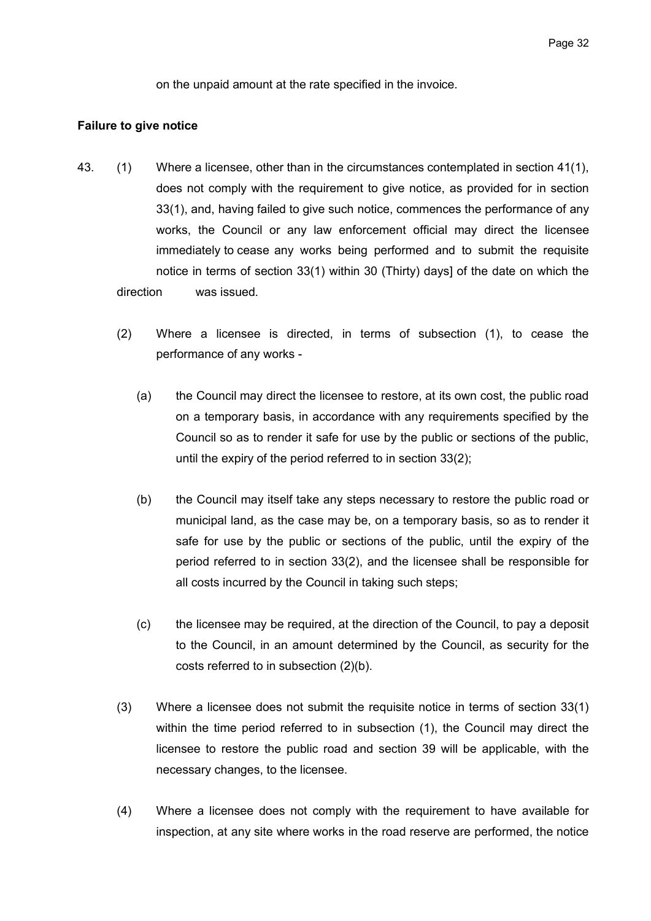on the unpaid amount at the rate specified in the invoice.

#### Failure to give notice

- 43. (1) Where a licensee, other than in the circumstances contemplated in section 41(1), does not comply with the requirement to give notice, as provided for in section 33(1), and, having failed to give such notice, commences the performance of any works, the Council or any law enforcement official may direct the licensee immediately to cease any works being performed and to submit the requisite notice in terms of section 33(1) within 30 (Thirty) days] of the date on which the direction was issued.
	- (2) Where a licensee is directed, in terms of subsection (1), to cease the performance of any works -
		- (a) the Council may direct the licensee to restore, at its own cost, the public road on a temporary basis, in accordance with any requirements specified by the Council so as to render it safe for use by the public or sections of the public, until the expiry of the period referred to in section 33(2);
		- (b) the Council may itself take any steps necessary to restore the public road or municipal land, as the case may be, on a temporary basis, so as to render it safe for use by the public or sections of the public, until the expiry of the period referred to in section 33(2), and the licensee shall be responsible for all costs incurred by the Council in taking such steps;
		- (c) the licensee may be required, at the direction of the Council, to pay a deposit to the Council, in an amount determined by the Council, as security for the costs referred to in subsection (2)(b).
	- (3) Where a licensee does not submit the requisite notice in terms of section 33(1) within the time period referred to in subsection (1), the Council may direct the licensee to restore the public road and section 39 will be applicable, with the necessary changes, to the licensee.
	- (4) Where a licensee does not comply with the requirement to have available for inspection, at any site where works in the road reserve are performed, the notice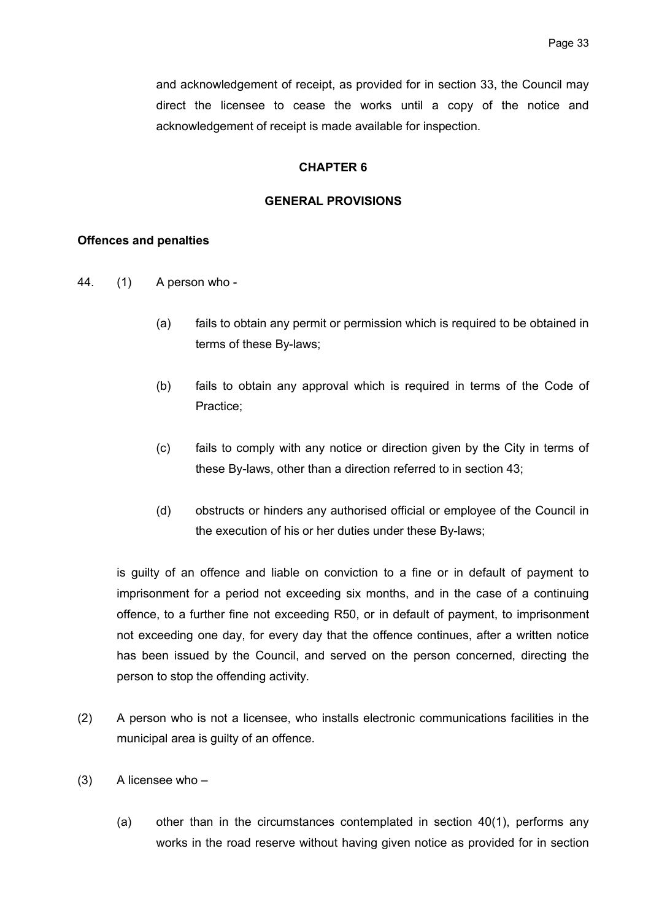and acknowledgement of receipt, as provided for in section 33, the Council may direct the licensee to cease the works until a copy of the notice and acknowledgement of receipt is made available for inspection.

## CHAPTER 6

#### GENERAL PROVISIONS

## Offences and penalties

- 44. (1) A person who
	- (a) fails to obtain any permit or permission which is required to be obtained in terms of these By-laws;
	- (b) fails to obtain any approval which is required in terms of the Code of Practice;
	- (c) fails to comply with any notice or direction given by the City in terms of these By-laws, other than a direction referred to in section 43;
	- (d) obstructs or hinders any authorised official or employee of the Council in the execution of his or her duties under these By-laws;

is guilty of an offence and liable on conviction to a fine or in default of payment to imprisonment for a period not exceeding six months, and in the case of a continuing offence, to a further fine not exceeding R50, or in default of payment, to imprisonment not exceeding one day, for every day that the offence continues, after a written notice has been issued by the Council, and served on the person concerned, directing the person to stop the offending activity.

- (2) A person who is not a licensee, who installs electronic communications facilities in the municipal area is guilty of an offence.
- $(3)$  A licensee who
	- (a) other than in the circumstances contemplated in section 40(1), performs any works in the road reserve without having given notice as provided for in section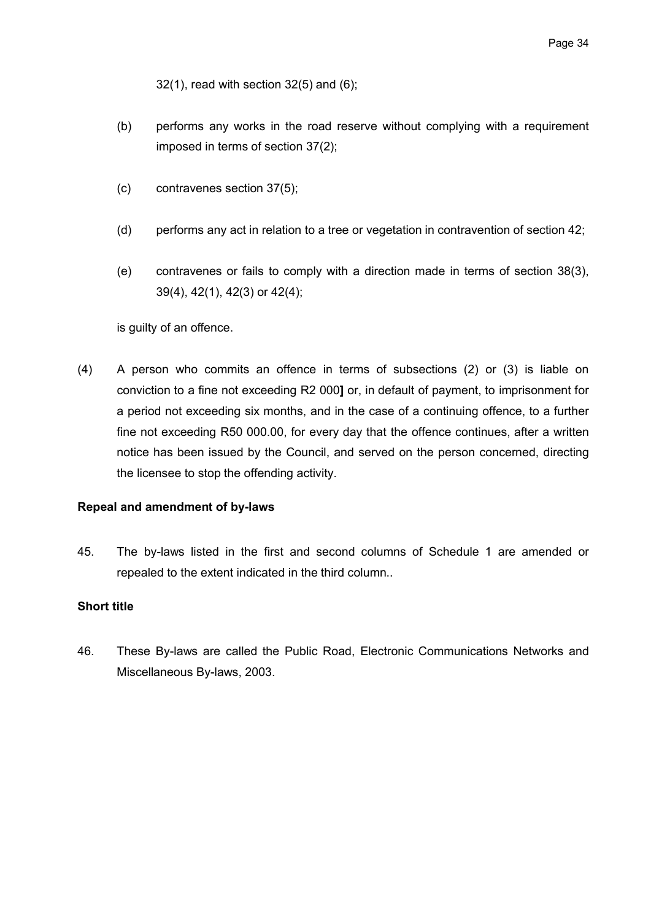32(1), read with section 32(5) and (6);

- (b) performs any works in the road reserve without complying with a requirement imposed in terms of section 37(2);
- (c) contravenes section 37(5);
- (d) performs any act in relation to a tree or vegetation in contravention of section 42;
- (e) contravenes or fails to comply with a direction made in terms of section 38(3), 39(4), 42(1), 42(3) or 42(4);

is guilty of an offence.

(4) A person who commits an offence in terms of subsections (2) or (3) is liable on conviction to a fine not exceeding R2 000] or, in default of payment, to imprisonment for a period not exceeding six months, and in the case of a continuing offence, to a further fine not exceeding R50 000.00, for every day that the offence continues, after a written notice has been issued by the Council, and served on the person concerned, directing the licensee to stop the offending activity.

## Repeal and amendment of by-laws

45. The by-laws listed in the first and second columns of Schedule 1 are amended or repealed to the extent indicated in the third column..

## Short title

46. These By-laws are called the Public Road, Electronic Communications Networks and Miscellaneous By-laws, 2003.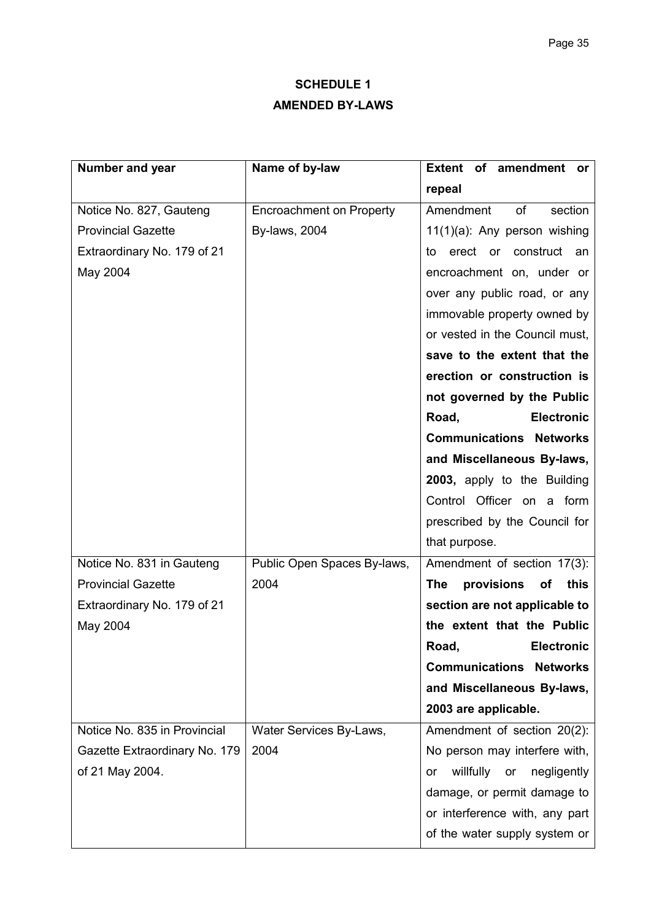# SCHEDULE 1 AMENDED BY-LAWS

| Number and year               | Name of by-law                  | Extent of amendment or                 |
|-------------------------------|---------------------------------|----------------------------------------|
|                               |                                 | repeal                                 |
| Notice No. 827, Gauteng       | <b>Encroachment on Property</b> | Amendment<br>of<br>section             |
| <b>Provincial Gazette</b>     | <b>By-laws, 2004</b>            | 11(1)(a): Any person wishing           |
| Extraordinary No. 179 of 21   |                                 | erect or construct an<br>to            |
| May 2004                      |                                 | encroachment on, under or              |
|                               |                                 | over any public road, or any           |
|                               |                                 | immovable property owned by            |
|                               |                                 | or vested in the Council must,         |
|                               |                                 | save to the extent that the            |
|                               |                                 | erection or construction is            |
|                               |                                 | not governed by the Public             |
|                               |                                 | Road,<br><b>Electronic</b>             |
|                               |                                 | <b>Communications Networks</b>         |
|                               |                                 | and Miscellaneous By-laws,             |
|                               |                                 | 2003, apply to the Building            |
|                               |                                 | Control Officer on a form              |
|                               |                                 | prescribed by the Council for          |
|                               |                                 | that purpose.                          |
| Notice No. 831 in Gauteng     | Public Open Spaces By-laws,     | Amendment of section 17(3):            |
| <b>Provincial Gazette</b>     | 2004                            | <b>The</b><br>provisions<br>this<br>of |
| Extraordinary No. 179 of 21   |                                 | section are not applicable to          |
| May 2004                      |                                 | the extent that the Public             |
|                               |                                 | Road,<br><b>Electronic</b>             |
|                               |                                 | <b>Communications Networks</b>         |
|                               |                                 | and Miscellaneous By-laws,             |
|                               |                                 | 2003 are applicable.                   |
| Notice No. 835 in Provincial  | Water Services By-Laws,         | Amendment of section 20(2):            |
| Gazette Extraordinary No. 179 | 2004                            | No person may interfere with,          |
| of 21 May 2004.               |                                 | willfully<br>negligently<br>or<br>or   |
|                               |                                 | damage, or permit damage to            |
|                               |                                 | or interference with, any part         |
|                               |                                 | of the water supply system or          |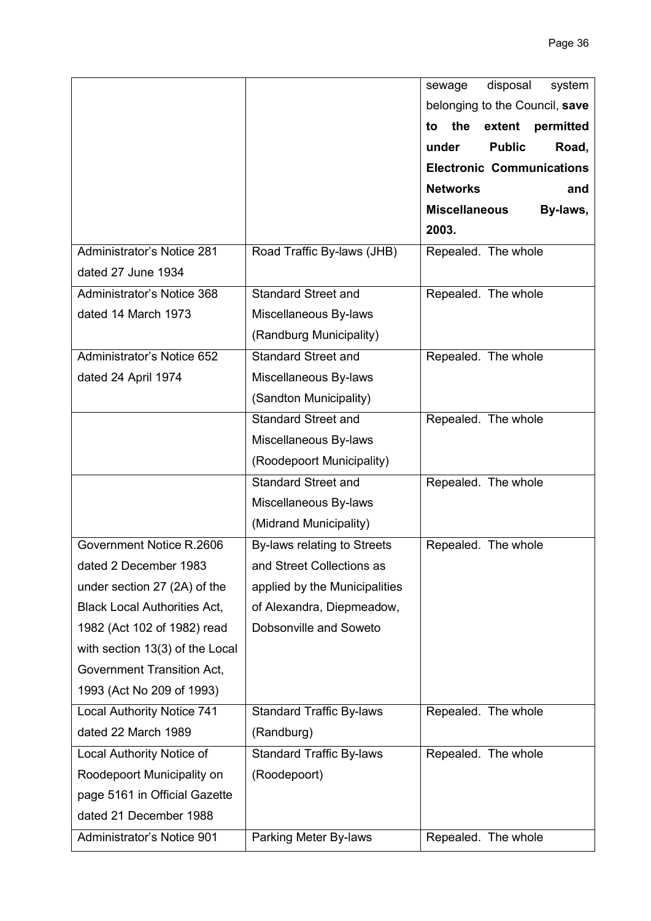|                                     |                                 | disposal<br>system<br>sewage     |
|-------------------------------------|---------------------------------|----------------------------------|
|                                     |                                 | belonging to the Council, save   |
|                                     |                                 | the extent<br>permitted<br>to    |
|                                     |                                 | <b>Public</b><br>Road,<br>under  |
|                                     |                                 | <b>Electronic Communications</b> |
|                                     |                                 | <b>Networks</b><br>and           |
|                                     |                                 | <b>Miscellaneous</b><br>By-laws, |
|                                     |                                 | 2003.                            |
| Administrator's Notice 281          | Road Traffic By-laws (JHB)      | Repealed. The whole              |
| dated 27 June 1934                  |                                 |                                  |
| Administrator's Notice 368          | <b>Standard Street and</b>      | Repealed. The whole              |
| dated 14 March 1973                 | Miscellaneous By-laws           |                                  |
|                                     | (Randburg Municipality)         |                                  |
| Administrator's Notice 652          | <b>Standard Street and</b>      | Repealed. The whole              |
| dated 24 April 1974                 | Miscellaneous By-laws           |                                  |
|                                     | (Sandton Municipality)          |                                  |
|                                     | <b>Standard Street and</b>      | Repealed. The whole              |
|                                     | Miscellaneous By-laws           |                                  |
|                                     | (Roodepoort Municipality)       |                                  |
|                                     | <b>Standard Street and</b>      | Repealed. The whole              |
|                                     | Miscellaneous By-laws           |                                  |
|                                     | (Midrand Municipality)          |                                  |
| Government Notice R.2606            | By-laws relating to Streets     | Repealed. The whole              |
| dated 2 December 1983               | and Street Collections as       |                                  |
| under section 27 (2A) of the        | applied by the Municipalities   |                                  |
| <b>Black Local Authorities Act,</b> | of Alexandra, Diepmeadow,       |                                  |
| 1982 (Act 102 of 1982) read         | Dobsonville and Soweto          |                                  |
| with section 13(3) of the Local     |                                 |                                  |
| Government Transition Act,          |                                 |                                  |
| 1993 (Act No 209 of 1993)           |                                 |                                  |
| Local Authority Notice 741          | <b>Standard Traffic By-laws</b> | Repealed. The whole              |
| dated 22 March 1989                 | (Randburg)                      |                                  |
| Local Authority Notice of           | <b>Standard Traffic By-laws</b> | Repealed. The whole              |
| Roodepoort Municipality on          | (Roodepoort)                    |                                  |
| page 5161 in Official Gazette       |                                 |                                  |
| dated 21 December 1988              |                                 |                                  |
| Administrator's Notice 901          | Parking Meter By-laws           | Repealed. The whole              |
|                                     |                                 |                                  |